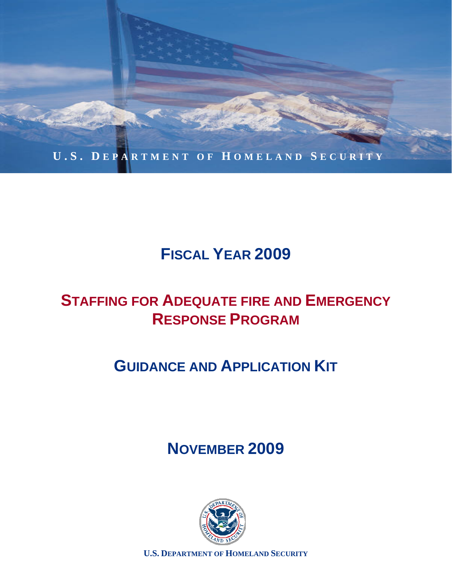

# **FISCAL YEAR 2009**

# **STAFFING FOR ADEQUATE FIRE AND EMERGENCY RESPONSE PROGRAM**

# **GUIDANCE AND APPLICATION KIT**

# **NOVEMBER 2009**



**U.S. DEPARTMENT OF HOMELAND SECURITY**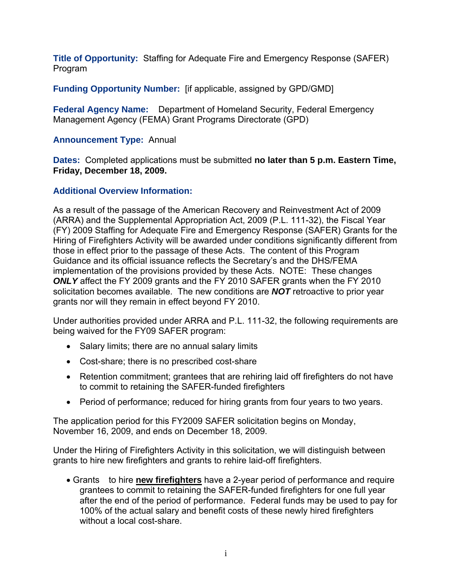**Title of Opportunity:** Staffing for Adequate Fire and Emergency Response (SAFER) Program

 **Funding Opportunity Number:** [if applicable, assigned by GPD/GMD]

**Federal Agency Name:** Department of Homeland Security, Federal Emergency Management Agency (FEMA) Grant Programs Directorate (GPD)

#### **Announcement Type:** Annual

 **Dates:** Completed applications must be submitted **no later than 5 p.m. Eastern Time, Friday, December 18, 2009.** 

#### **Additional Overview Information:**

As a result of the passage of the American Recovery and Reinvestment Act of 2009 (ARRA) and the Supplemental Appropriation Act, 2009 (P.L. 111-32), the Fiscal Year (FY) 2009 Staffing for Adequate Fire and Emergency Response (SAFER) Grants for the Hiring of Firefighters Activity will be awarded under conditions significantly different from those in effect prior to the passage of these Acts. The content of this Program Guidance and its official issuance reflects the Secretary's and the DHS/FEMA implementation of the provisions provided by these Acts. NOTE: These changes *ONLY* affect the FY 2009 grants and the FY 2010 SAFER grants when the FY 2010 solicitation becomes available. The new conditions are *NOT* retroactive to prior year grants nor will they remain in effect beyond FY 2010.

Under authorities provided under ARRA and P.L. 111-32, the following requirements are being waived for the FY09 SAFER program:

- Salary limits; there are no annual salary limits
- Cost-share; there is no prescribed cost-share
- Retention commitment; grantees that are rehiring laid off firefighters do not have to commit to retaining the SAFER-funded firefighters
- Period of performance; reduced for hiring grants from four years to two years.

The application period for this FY2009 SAFER solicitation begins on Monday, November 16, 2009, and ends on December 18, 2009.

Under the Hiring of Firefighters Activity in this solicitation, we will distinguish between grants to hire new firefighters and grants to rehire laid-off firefighters.

 Grants to hire **new firefighters** have a 2-year period of performance and require grantees to commit to retaining the SAFER-funded firefighters for one full year after the end of the period of performance. Federal funds may be used to pay for 100% of the actual salary and benefit costs of these newly hired firefighters without a local cost-share.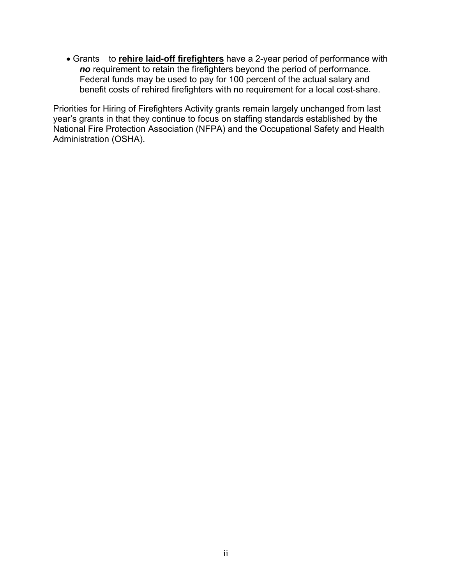Grants to **rehire laid-off firefighters** have a 2-year period of performance with *no* requirement to retain the firefighters beyond the period of performance. Federal funds may be used to pay for 100 percent of the actual salary and benefit costs of rehired firefighters with no requirement for a local cost-share.

Priorities for Hiring of Firefighters Activity grants remain largely unchanged from last year's grants in that they continue to focus on staffing standards established by the National Fire Protection Association (NFPA) and the Occupational Safety and Health Administration (OSHA).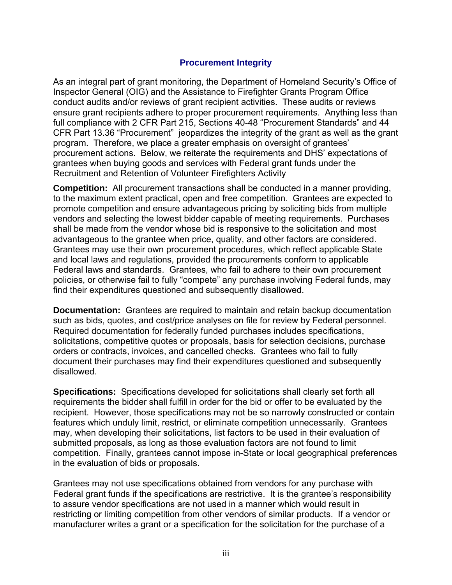#### **Procurement Integrity**

As an integral part of grant monitoring, the Department of Homeland Security's Office of Inspector General (OIG) and the Assistance to Firefighter Grants Program Office conduct audits and/or reviews of grant recipient activities. These audits or reviews ensure grant recipients adhere to proper procurement requirements. Anything less than full compliance with 2 CFR Part 215, Sections 40-48 "Procurement Standards" and 44 CFR Part 13.36 "Procurement" jeopardizes the integrity of the grant as well as the grant program. Therefore, we place a greater emphasis on oversight of grantees' procurement actions. Below, we reiterate the requirements and DHS' expectations of grantees when buying goods and services with Federal grant funds under the Recruitment and Retention of Volunteer Firefighters Activity

**Competition:** All procurement transactions shall be conducted in a manner providing, to the maximum extent practical, open and free competition. Grantees are expected to promote competition and ensure advantageous pricing by soliciting bids from multiple vendors and selecting the lowest bidder capable of meeting requirements. Purchases shall be made from the vendor whose bid is responsive to the solicitation and most advantageous to the grantee when price, quality, and other factors are considered. Grantees may use their own procurement procedures, which reflect applicable State and local laws and regulations, provided the procurements conform to applicable Federal laws and standards. Grantees, who fail to adhere to their own procurement policies, or otherwise fail to fully "compete" any purchase involving Federal funds, may find their expenditures questioned and subsequently disallowed.

**Documentation:** Grantees are required to maintain and retain backup documentation such as bids, quotes, and cost/price analyses on file for review by Federal personnel. Required documentation for federally funded purchases includes specifications, solicitations, competitive quotes or proposals, basis for selection decisions, purchase orders or contracts, invoices, and cancelled checks. Grantees who fail to fully document their purchases may find their expenditures questioned and subsequently disallowed.

**Specifications:** Specifications developed for solicitations shall clearly set forth all requirements the bidder shall fulfill in order for the bid or offer to be evaluated by the recipient. However, those specifications may not be so narrowly constructed or contain features which unduly limit, restrict, or eliminate competition unnecessarily. Grantees may, when developing their solicitations, list factors to be used in their evaluation of submitted proposals, as long as those evaluation factors are not found to limit competition. Finally, grantees cannot impose in-State or local geographical preferences in the evaluation of bids or proposals.

Grantees may not use specifications obtained from vendors for any purchase with Federal grant funds if the specifications are restrictive. It is the grantee's responsibility to assure vendor specifications are not used in a manner which would result in restricting or limiting competition from other vendors of similar products. If a vendor or manufacturer writes a grant or a specification for the solicitation for the purchase of a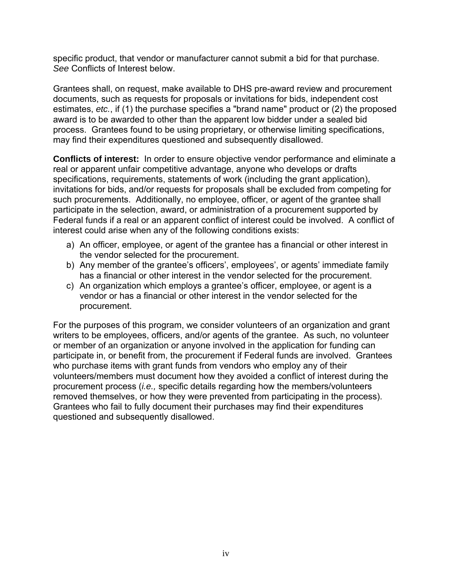specific product, that vendor or manufacturer cannot submit a bid for that purchase. *See* Conflicts of Interest below.

Grantees shall, on request, make available to DHS pre-award review and procurement documents, such as requests for proposals or invitations for bids, independent cost estimates, *etc.*, if (1) the purchase specifies a "brand name" product or (2) the proposed award is to be awarded to other than the apparent low bidder under a sealed bid process. Grantees found to be using proprietary, or otherwise limiting specifications, may find their expenditures questioned and subsequently disallowed.

**Conflicts of interest:** In order to ensure objective vendor performance and eliminate a real or apparent unfair competitive advantage, anyone who develops or drafts specifications, requirements, statements of work (including the grant application), invitations for bids, and/or requests for proposals shall be excluded from competing for such procurements. Additionally, no employee, officer, or agent of the grantee shall participate in the selection, award, or administration of a procurement supported by Federal funds if a real or an apparent conflict of interest could be involved. A conflict of interest could arise when any of the following conditions exists:

- a) An officer, employee, or agent of the grantee has a financial or other interest in the vendor selected for the procurement.
- b) Any member of the grantee's officers', employees', or agents' immediate family has a financial or other interest in the vendor selected for the procurement.
- c) An organization which employs a grantee's officer, employee, or agent is a vendor or has a financial or other interest in the vendor selected for the procurement.

For the purposes of this program, we consider volunteers of an organization and grant writers to be employees, officers, and/or agents of the grantee. As such, no volunteer or member of an organization or anyone involved in the application for funding can participate in, or benefit from, the procurement if Federal funds are involved. Grantees who purchase items with grant funds from vendors who employ any of their volunteers/members must document how they avoided a conflict of interest during the procurement process (*i.e.,* specific details regarding how the members/volunteers removed themselves, or how they were prevented from participating in the process). Grantees who fail to fully document their purchases may find their expenditures questioned and subsequently disallowed.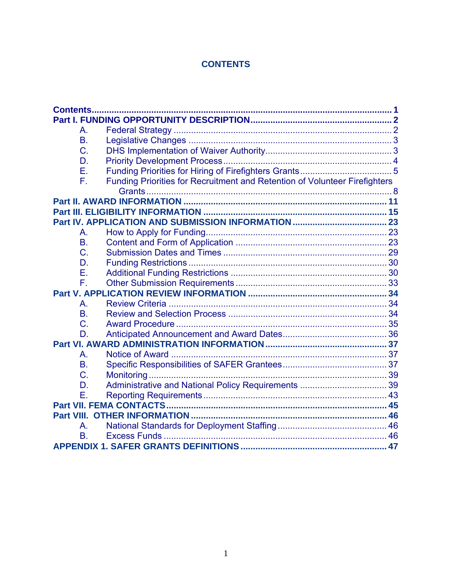# **CONTENTS**

| А.        |                                                                            |  |  |
|-----------|----------------------------------------------------------------------------|--|--|
| <b>B.</b> |                                                                            |  |  |
| C.        |                                                                            |  |  |
| D.        |                                                                            |  |  |
| Ε.        |                                                                            |  |  |
| F.        | Funding Priorities for Recruitment and Retention of Volunteer Firefighters |  |  |
|           |                                                                            |  |  |
|           |                                                                            |  |  |
|           |                                                                            |  |  |
|           |                                                                            |  |  |
| A.        |                                                                            |  |  |
| <b>B.</b> |                                                                            |  |  |
| C.        |                                                                            |  |  |
| D.        |                                                                            |  |  |
| Е.        |                                                                            |  |  |
| F.        |                                                                            |  |  |
|           |                                                                            |  |  |
| А.        |                                                                            |  |  |
| <b>B.</b> |                                                                            |  |  |
| C.        |                                                                            |  |  |
| D.        |                                                                            |  |  |
|           |                                                                            |  |  |
| A.        |                                                                            |  |  |
| <b>B.</b> |                                                                            |  |  |
| C.        |                                                                            |  |  |
| D.        |                                                                            |  |  |
| F.        |                                                                            |  |  |
|           |                                                                            |  |  |
|           |                                                                            |  |  |
| Α.        |                                                                            |  |  |
| <b>B.</b> |                                                                            |  |  |
|           | <b>APPENDIX 1. SAFER GRANTS DEFINITIONS</b>                                |  |  |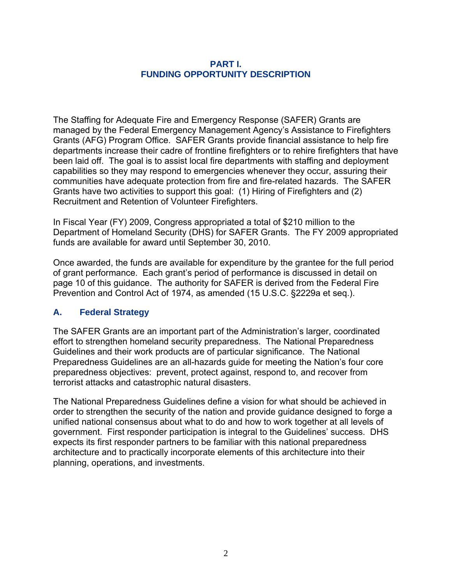#### **PART I. FUNDING OPPORTUNITY DESCRIPTION**

<span id="page-6-0"></span>The Staffing for Adequate Fire and Emergency Response (SAFER) Grants are managed by the Federal Emergency Management Agency's Assistance to Firefighters Grants (AFG) Program Office. SAFER Grants provide financial assistance to help fire departments increase their cadre of frontline firefighters or to rehire firefighters that have been laid off. The goal is to assist local fire departments with staffing and deployment capabilities so they may respond to emergencies whenever they occur, assuring their communities have adequate protection from fire and fire-related hazards. The SAFER Grants have two activities to support this goal: (1) Hiring of Firefighters and (2) Recruitment and Retention of Volunteer Firefighters.

In Fiscal Year (FY) 2009, Congress appropriated a total of \$210 million to the Department of Homeland Security (DHS) for SAFER Grants. The FY 2009 appropriated funds are available for award until September 30, 2010.

Once awarded, the funds are available for expenditure by the grantee for the full period of grant performance. Each grant's period of performance is discussed in detail on page 10 of this guidance. The authority for SAFER is derived from the Federal Fire Prevention and Control Act of 1974, as amended (15 U.S.C. §2229a et seq.).

## **A. Federal Strategy**

The SAFER Grants are an important part of the Administration's larger, coordinated effort to strengthen homeland security preparedness. The National Preparedness Guidelines and their work products are of particular significance. The National Preparedness Guidelines are an all-hazards guide for meeting the Nation's four core preparedness objectives: prevent, protect against, respond to, and recover from terrorist attacks and catastrophic natural disasters.

The National Preparedness Guidelines define a vision for what should be achieved in order to strengthen the security of the nation and provide guidance designed to forge a unified national consensus about what to do and how to work together at all levels of government. First responder participation is integral to the Guidelines' success. DHS expects its first responder partners to be familiar with this national preparedness architecture and to practically incorporate elements of this architecture into their planning, operations, and investments.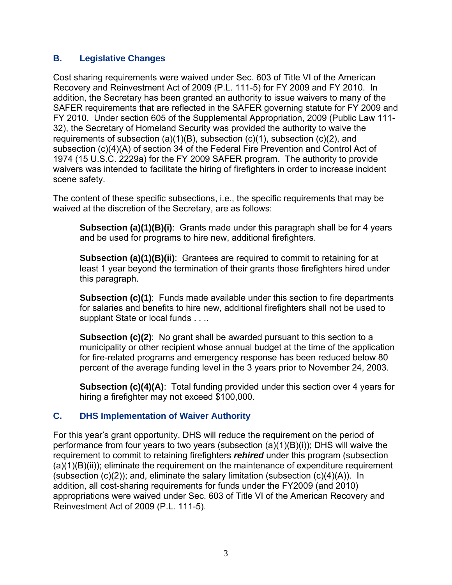## <span id="page-7-0"></span>**B. Legislative Changes**

Cost sharing requirements were waived under Sec. 603 of Title VI of the American Recovery and Reinvestment Act of 2009 (P.L. 111-5) for FY 2009 and FY 2010. In addition, the Secretary has been granted an authority to issue waivers to many of the SAFER requirements that are reflected in the SAFER governing statute for FY 2009 and FY 2010. Under section 605 of the Supplemental Appropriation, 2009 (Public Law 111- 32), the Secretary of Homeland Security was provided the authority to waive the requirements of subsection (a)(1)(B), subsection (c)(1), subsection (c)(2), and subsection (c)(4)(A) of section 34 of the Federal Fire Prevention and Control Act of 1974 (15 U.S.C. 2229a) for the FY 2009 SAFER program. The authority to provide waivers was intended to facilitate the hiring of firefighters in order to increase incident scene safety.

The content of these specific subsections, i.e., the specific requirements that may be waived at the discretion of the Secretary, are as follows:

**Subsection (a)(1)(B)(i)**: Grants made under this paragraph shall be for 4 years and be used for programs to hire new, additional firefighters.

**Subsection (a)(1)(B)(ii)**: Grantees are required to commit to retaining for at least 1 year beyond the termination of their grants those firefighters hired under this paragraph.

**Subsection (c)(1):** Funds made available under this section to fire departments for salaries and benefits to hire new, additional firefighters shall not be used to supplant State or local funds . . ..

**Subsection (c)(2)**: No grant shall be awarded pursuant to this section to a municipality or other recipient whose annual budget at the time of the application for fire-related programs and emergency response has been reduced below 80 percent of the average funding level in the 3 years prior to November 24, 2003.

**Subsection (c)(4)(A)**: Total funding provided under this section over 4 years for hiring a firefighter may not exceed \$100,000.

# **C. DHS Implementation of Waiver Authority**

For this year's grant opportunity, DHS will reduce the requirement on the period of performance from four years to two years (subsection  $(a)(1)(B)(i)$ ); DHS will waive the requirement to commit to retaining firefighters *rehired* under this program (subsection  $(a)(1)(B)(ii)$ ; eliminate the requirement on the maintenance of expenditure requirement (subsection  $(c)(2)$ ); and, eliminate the salary limitation (subsection  $(c)(4)(A)$ ). In addition, all cost-sharing requirements for funds under the FY2009 (and 2010) appropriations were waived under Sec. 603 of Title VI of the American Recovery and Reinvestment Act of 2009 (P.L. 111-5).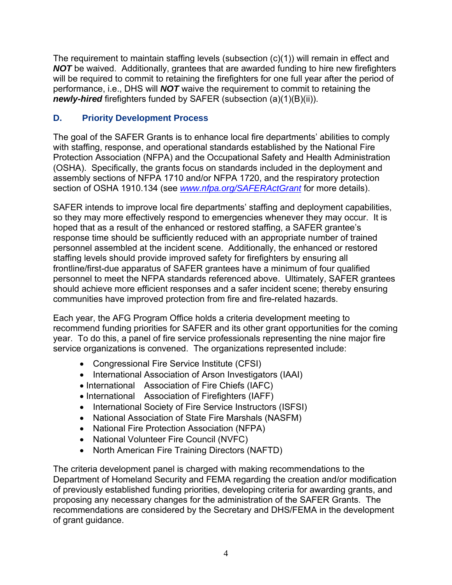<span id="page-8-0"></span>The requirement to maintain staffing levels (subsection (c)(1)) will remain in effect and **NOT** be waived. Additionally, grantees that are awarded funding to hire new firefighters will be required to commit to retaining the firefighters for one full year after the period of performance, i.e., DHS will *NOT* waive the requirement to commit to retaining the *newly-hired* firefighters funded by SAFER (subsection (a)(1)(B)(ii)).

# **D. Priority Development Process**

The goal of the SAFER Grants is to enhance local fire departments' abilities to comply with staffing, response, and operational standards established by the National Fire Protection Association (NFPA) and the Occupational Safety and Health Administration (OSHA). Specifically, the grants focus on standards included in the deployment and assembly sections of NFPA 1710 and/or NFPA 1720, and the respiratory protection section of OSHA 1910.134 (see *www.nfpa.org/SAFERActGrant* for more details).

SAFER intends to improve local fire departments' staffing and deployment capabilities, so they may more effectively respond to emergencies whenever they may occur. It is hoped that as a result of the enhanced or restored staffing, a SAFER grantee's response time should be sufficiently reduced with an appropriate number of trained personnel assembled at the incident scene. Additionally, the enhanced or restored staffing levels should provide improved safety for firefighters by ensuring all frontline/first-due apparatus of SAFER grantees have a minimum of four qualified personnel to meet the NFPA standards referenced above. Ultimately, SAFER grantees should achieve more efficient responses and a safer incident scene; thereby ensuring communities have improved protection from fire and fire-related hazards.

Each year, the AFG Program Office holds a criteria development meeting to recommend funding priorities for SAFER and its other grant opportunities for the coming year. To do this, a panel of fire service professionals representing the nine major fire service organizations is convened. The organizations represented include:

- Congressional Fire Service Institute (CFSI)
- International Association of Arson Investigators (IAAI)
- International Association of Fire Chiefs (IAFC)
- International Association of Firefighters (IAFF)
- International Society of Fire Service Instructors (ISFSI)
- National Association of State Fire Marshals (NASFM)
- National Fire Protection Association (NFPA)
- National Volunteer Fire Council (NVFC)
- North American Fire Training Directors (NAFTD)

The criteria development panel is charged with making recommendations to the Department of Homeland Security and FEMA regarding the creation and/or modification of previously established funding priorities, developing criteria for awarding grants, and proposing any necessary changes for the administration of the SAFER Grants. The recommendations are considered by the Secretary and DHS/FEMA in the development of grant guidance.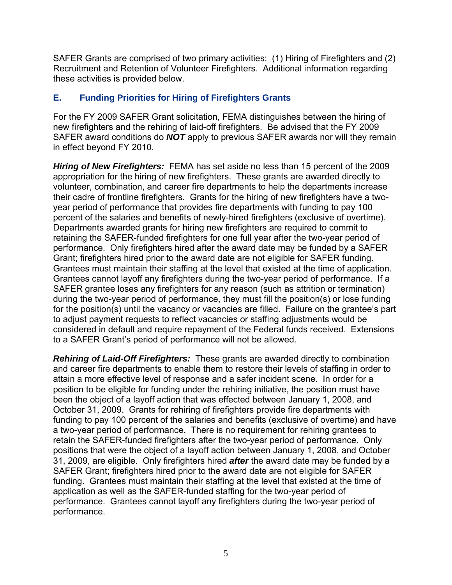<span id="page-9-0"></span>SAFER Grants are comprised of two primary activities: (1) Hiring of Firefighters and (2) Recruitment and Retention of Volunteer Firefighters. Additional information regarding these activities is provided below.

## **E. Funding Priorities for Hiring of Firefighters Grants**

For the FY 2009 SAFER Grant solicitation, FEMA distinguishes between the hiring of new firefighters and the rehiring of laid-off firefighters. Be advised that the FY 2009 SAFER award conditions do *NOT* apply to previous SAFER awards nor will they remain in effect beyond FY 2010.

*Hiring of New Firefighters:* FEMA has set aside no less than 15 percent of the 2009 appropriation for the hiring of new firefighters. These grants are awarded directly to volunteer, combination, and career fire departments to help the departments increase their cadre of frontline firefighters. Grants for the hiring of new firefighters have a twoyear period of performance that provides fire departments with funding to pay 100 percent of the salaries and benefits of newly-hired firefighters (exclusive of overtime). Departments awarded grants for hiring new firefighters are required to commit to retaining the SAFER-funded firefighters for one full year after the two-year period of performance. Only firefighters hired after the award date may be funded by a SAFER Grant; firefighters hired prior to the award date are not eligible for SAFER funding. Grantees must maintain their staffing at the level that existed at the time of application. Grantees cannot layoff any firefighters during the two-year period of performance. If a SAFER grantee loses any firefighters for any reason (such as attrition or termination) during the two-year period of performance, they must fill the position(s) or lose funding for the position(s) until the vacancy or vacancies are filled. Failure on the grantee's part to adjust payment requests to reflect vacancies or staffing adjustments would be considered in default and require repayment of the Federal funds received. Extensions to a SAFER Grant's period of performance will not be allowed.

*Rehiring of Laid-Off Firefighters:* These grants are awarded directly to combination and career fire departments to enable them to restore their levels of staffing in order to attain a more effective level of response and a safer incident scene. In order for a position to be eligible for funding under the rehiring initiative, the position must have been the object of a layoff action that was effected between January 1, 2008, and October 31, 2009. Grants for rehiring of firefighters provide fire departments with funding to pay 100 percent of the salaries and benefits (exclusive of overtime) and have a two-year period of performance. There is no requirement for rehiring grantees to retain the SAFER-funded firefighters after the two-year period of performance. Only positions that were the object of a layoff action between January 1, 2008, and October 31, 2009, are eligible. Only firefighters hired *after* the award date may be funded by a SAFER Grant; firefighters hired prior to the award date are not eligible for SAFER funding. Grantees must maintain their staffing at the level that existed at the time of application as well as the SAFER-funded staffing for the two-year period of performance. Grantees cannot layoff any firefighters during the two-year period of performance.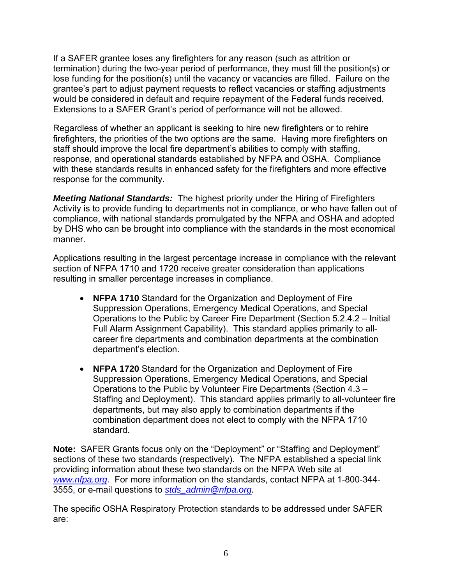If a SAFER grantee loses any firefighters for any reason (such as attrition or termination) during the two-year period of performance, they must fill the position(s) or lose funding for the position(s) until the vacancy or vacancies are filled. Failure on the grantee's part to adjust payment requests to reflect vacancies or staffing adjustments would be considered in default and require repayment of the Federal funds received. Extensions to a SAFER Grant's period of performance will not be allowed.

Regardless of whether an applicant is seeking to hire new firefighters or to rehire firefighters, the priorities of the two options are the same. Having more firefighters on staff should improve the local fire department's abilities to comply with staffing, response, and operational standards established by NFPA and OSHA. Compliance with these standards results in enhanced safety for the firefighters and more effective response for the community.

*Meeting National Standards:* The highest priority under the Hiring of Firefighters Activity is to provide funding to departments not in compliance, or who have fallen out of compliance, with national standards promulgated by the NFPA and OSHA and adopted by DHS who can be brought into compliance with the standards in the most economical manner.

Applications resulting in the largest percentage increase in compliance with the relevant section of NFPA 1710 and 1720 receive greater consideration than applications resulting in smaller percentage increases in compliance.

- **NFPA 1710** Standard for the Organization and Deployment of Fire Suppression Operations, Emergency Medical Operations, and Special Operations to the Public by Career Fire Department (Section 5.2.4.2 – Initial Full Alarm Assignment Capability). This standard applies primarily to allcareer fire departments and combination departments at the combination department's election.
- **NFPA 1720** Standard for the Organization and Deployment of Fire Suppression Operations, Emergency Medical Operations, and Special Operations to the Public by Volunteer Fire Departments (Section 4.3 – Staffing and Deployment). This standard applies primarily to all-volunteer fire departments, but may also apply to combination departments if the combination department does not elect to comply with the NFPA 1710 standard.

**Note:** SAFER Grants focus only on the "Deployment" or "Staffing and Deployment" sections of these two standards (respectively). The NFPA established a special link providing information about these two standards on the NFPA Web site at *www.nfpa.org*. For more information on the standards, contact NFPA at 1-800-344- 3555, or e-mail questions to *stds\_admin@nfpa.org.* 

The specific OSHA Respiratory Protection standards to be addressed under SAFER are: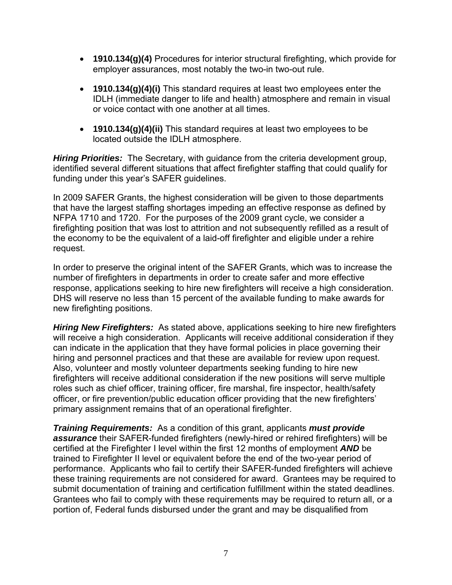- **1910.134(g)(4)** Procedures for interior structural firefighting, which provide for employer assurances, most notably the two-in two-out rule.
- **1910.134(g)(4)(i)** This standard requires at least two employees enter the IDLH (immediate danger to life and health) atmosphere and remain in visual or voice contact with one another at all times.
- **1910.134(g)(4)(ii)** This standard requires at least two employees to be located outside the IDLH atmosphere.

*Hiring Priorities:* The Secretary, with guidance from the criteria development group, identified several different situations that affect firefighter staffing that could qualify for funding under this year's SAFER guidelines.

In 2009 SAFER Grants, the highest consideration will be given to those departments that have the largest staffing shortages impeding an effective response as defined by NFPA 1710 and 1720. For the purposes of the 2009 grant cycle, we consider a firefighting position that was lost to attrition and not subsequently refilled as a result of the economy to be the equivalent of a laid-off firefighter and eligible under a rehire request.

In order to preserve the original intent of the SAFER Grants, which was to increase the number of firefighters in departments in order to create safer and more effective response, applications seeking to hire new firefighters will receive a high consideration. DHS will reserve no less than 15 percent of the available funding to make awards for new firefighting positions.

*Hiring New Firefighters:* As stated above, applications seeking to hire new firefighters will receive a high consideration. Applicants will receive additional consideration if they can indicate in the application that they have formal policies in place governing their hiring and personnel practices and that these are available for review upon request. Also, volunteer and mostly volunteer departments seeking funding to hire new firefighters will receive additional consideration if the new positions will serve multiple roles such as chief officer, training officer, fire marshal, fire inspector, health/safety officer, or fire prevention/public education officer providing that the new firefighters' primary assignment remains that of an operational firefighter.

*Training Requirements:* As a condition of this grant, applicants *must provide assurance* their SAFER-funded firefighters (newly-hired or rehired firefighters) will be certified at the Firefighter I level within the first 12 months of employment *AND* be trained to Firefighter II level or equivalent before the end of the two-year period of performance. Applicants who fail to certify their SAFER-funded firefighters will achieve these training requirements are not considered for award. Grantees may be required to submit documentation of training and certification fulfillment within the stated deadlines. Grantees who fail to comply with these requirements may be required to return all, or a portion of, Federal funds disbursed under the grant and may be disqualified from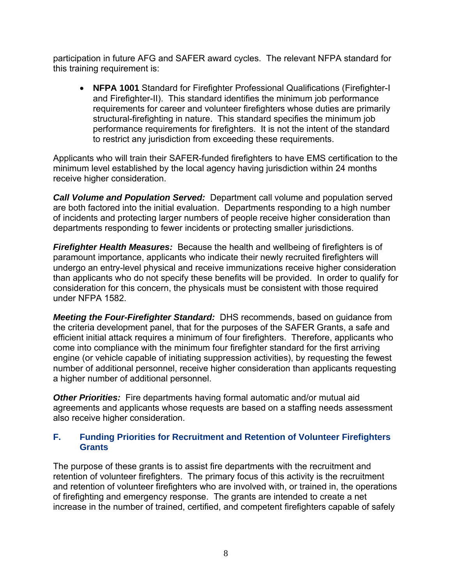<span id="page-12-0"></span>participation in future AFG and SAFER award cycles. The relevant NFPA standard for this training requirement is:

 **NFPA 1001** Standard for Firefighter Professional Qualifications (Firefighter-I and Firefighter-II). This standard identifies the minimum job performance requirements for career and volunteer firefighters whose duties are primarily structural-firefighting in nature. This standard specifies the minimum job performance requirements for firefighters. It is not the intent of the standard to restrict any jurisdiction from exceeding these requirements.

Applicants who will train their SAFER-funded firefighters to have EMS certification to the minimum level established by the local agency having jurisdiction within 24 months receive higher consideration.

*Call Volume and Population Served:* Department call volume and population served are both factored into the initial evaluation. Departments responding to a high number of incidents and protecting larger numbers of people receive higher consideration than departments responding to fewer incidents or protecting smaller jurisdictions.

*Firefighter Health Measures:* Because the health and wellbeing of firefighters is of paramount importance, applicants who indicate their newly recruited firefighters will undergo an entry-level physical and receive immunizations receive higher consideration than applicants who do not specify these benefits will be provided. In order to qualify for consideration for this concern, the physicals must be consistent with those required under NFPA 1582.

*Meeting the Four-Firefighter Standard:* DHS recommends, based on guidance from the criteria development panel, that for the purposes of the SAFER Grants, a safe and efficient initial attack requires a minimum of four firefighters. Therefore, applicants who come into compliance with the minimum four firefighter standard for the first arriving engine (or vehicle capable of initiating suppression activities), by requesting the fewest number of additional personnel, receive higher consideration than applicants requesting a higher number of additional personnel.

*Other Priorities:* Fire departments having formal automatic and/or mutual aid agreements and applicants whose requests are based on a staffing needs assessment also receive higher consideration.

#### **F. Funding Priorities for Recruitment and Retention of Volunteer Firefighters Grants**

The purpose of these grants is to assist fire departments with the recruitment and retention of volunteer firefighters. The primary focus of this activity is the recruitment and retention of volunteer firefighters who are involved with, or trained in, the operations of firefighting and emergency response. The grants are intended to create a net increase in the number of trained, certified, and competent firefighters capable of safely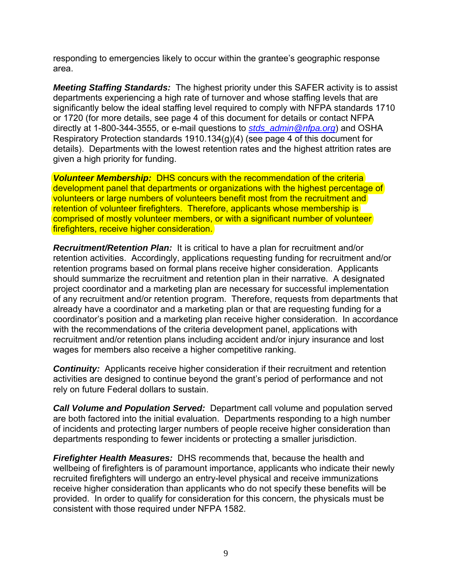responding to emergencies likely to occur within the grantee's geographic response area.

*Meeting Staffing Standards:* The highest priority under this SAFER activity is to assist departments experiencing a high rate of turnover and whose staffing levels that are significantly below the ideal staffing level required to comply with NFPA standards 1710 or 1720 (for more details, see page 4 of this document for details or contact NFPA directly at 1-800-344-3555, or e-mail questions to *stds\_admin@nfpa.org*) and OSHA Respiratory Protection standards 1910.134(g)(4) (see page 4 of this document for details). Departments with the lowest retention rates and the highest attrition rates are given a high priority for funding.

*Volunteer Membership:* DHS concurs with the recommendation of the criteria development panel that departments or organizations with the highest percentage of volunteers or large numbers of volunteers benefit most from the recruitment and retention of volunteer firefighters. Therefore, applicants whose membership is comprised of mostly volunteer members, or with a significant number of volunteer firefighters, receive higher consideration.

*Recruitment/Retention Plan:* It is critical to have a plan for recruitment and/or retention activities. Accordingly, applications requesting funding for recruitment and/or retention programs based on formal plans receive higher consideration. Applicants should summarize the recruitment and retention plan in their narrative. A designated project coordinator and a marketing plan are necessary for successful implementation of any recruitment and/or retention program. Therefore, requests from departments that already have a coordinator and a marketing plan or that are requesting funding for a coordinator's position and a marketing plan receive higher consideration. In accordance with the recommendations of the criteria development panel, applications with recruitment and/or retention plans including accident and/or injury insurance and lost wages for members also receive a higher competitive ranking.

**Continuity:** Applicants receive higher consideration if their recruitment and retention activities are designed to continue beyond the grant's period of performance and not rely on future Federal dollars to sustain.

*Call Volume and Population Served:* Department call volume and population served are both factored into the initial evaluation. Departments responding to a high number of incidents and protecting larger numbers of people receive higher consideration than departments responding to fewer incidents or protecting a smaller jurisdiction.

*Firefighter Health Measures:* DHS recommends that, because the health and wellbeing of firefighters is of paramount importance, applicants who indicate their newly recruited firefighters will undergo an entry-level physical and receive immunizations receive higher consideration than applicants who do not specify these benefits will be provided. In order to qualify for consideration for this concern, the physicals must be consistent with those required under NFPA 1582.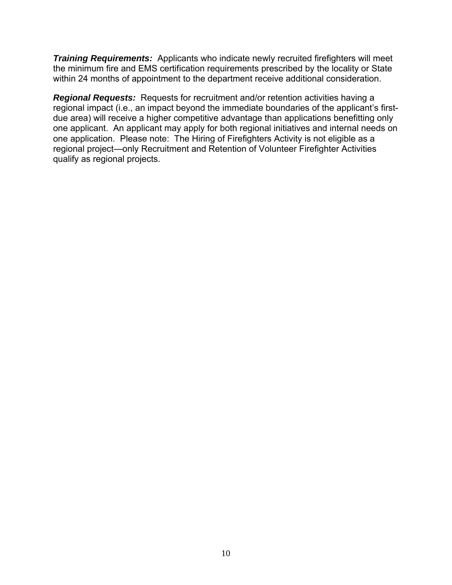*Training Requirements:* Applicants who indicate newly recruited firefighters will meet the minimum fire and EMS certification requirements prescribed by the locality or State within 24 months of appointment to the department receive additional consideration.

*Regional Requests:* Requests for recruitment and/or retention activities having a regional impact (i.e., an impact beyond the immediate boundaries of the applicant's firstdue area) will receive a higher competitive advantage than applications benefitting only one applicant. An applicant may apply for both regional initiatives and internal needs on one application. Please note: The Hiring of Firefighters Activity is not eligible as a regional project—only Recruitment and Retention of Volunteer Firefighter Activities qualify as regional projects.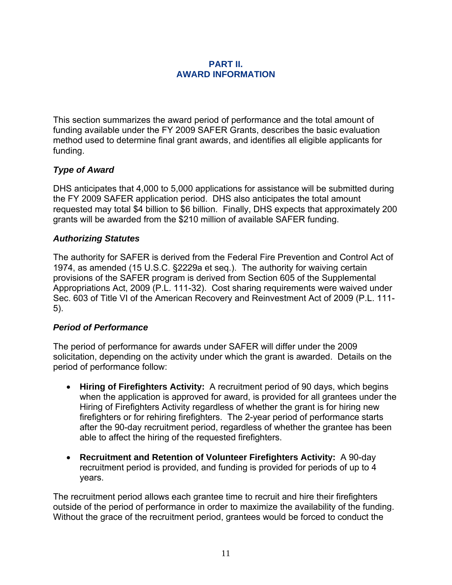#### **PART II. AWARD INFORMATION**

<span id="page-15-0"></span>This section summarizes the award period of performance and the total amount of funding available under the FY 2009 SAFER Grants, describes the basic evaluation method used to determine final grant awards, and identifies all eligible applicants for funding.

# *Type of Award*

DHS anticipates that 4,000 to 5,000 applications for assistance will be submitted during the FY 2009 SAFER application period. DHS also anticipates the total amount requested may total \$4 billion to \$6 billion. Finally, DHS expects that approximately 200 grants will be awarded from the \$210 million of available SAFER funding.

#### *Authorizing Statutes*

The authority for SAFER is derived from the Federal Fire Prevention and Control Act of 1974, as amended (15 U.S.C. §2229a et seq.). The authority for waiving certain provisions of the SAFER program is derived from Section 605 of the Supplemental Appropriations Act, 2009 (P.L. 111-32). Cost sharing requirements were waived under Sec. 603 of Title VI of the American Recovery and Reinvestment Act of 2009 (P.L. 111- 5).

#### *Period of Performance*

The period of performance for awards under SAFER will differ under the 2009 solicitation, depending on the activity under which the grant is awarded. Details on the period of performance follow:

- **Hiring of Firefighters Activity:** A recruitment period of 90 days, which begins when the application is approved for award, is provided for all grantees under the Hiring of Firefighters Activity regardless of whether the grant is for hiring new firefighters or for rehiring firefighters. The 2-year period of performance starts after the 90-day recruitment period, regardless of whether the grantee has been able to affect the hiring of the requested firefighters.
- **Recruitment and Retention of Volunteer Firefighters Activity:** A 90-day recruitment period is provided, and funding is provided for periods of up to 4 years.

The recruitment period allows each grantee time to recruit and hire their firefighters outside of the period of performance in order to maximize the availability of the funding. Without the grace of the recruitment period, grantees would be forced to conduct the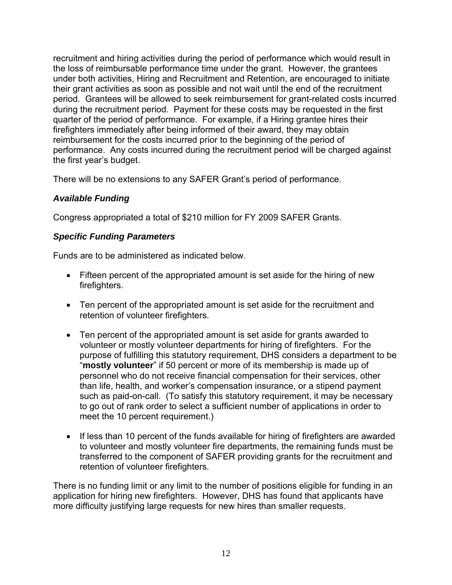recruitment and hiring activities during the period of performance which would result in the loss of reimbursable performance time under the grant. However, the grantees under both activities, Hiring and Recruitment and Retention, are encouraged to initiate their grant activities as soon as possible and not wait until the end of the recruitment period. Grantees will be allowed to seek reimbursement for grant-related costs incurred during the recruitment period. Payment for these costs may be requested in the first quarter of the period of performance. For example, if a Hiring grantee hires their firefighters immediately after being informed of their award, they may obtain reimbursement for the costs incurred prior to the beginning of the period of performance. Any costs incurred during the recruitment period will be charged against the first year's budget.

There will be no extensions to any SAFER Grant's period of performance.

## *Available Funding*

Congress appropriated a total of \$210 million for FY 2009 SAFER Grants.

# *Specific Funding Parameters*

Funds are to be administered as indicated below.

- Fifteen percent of the appropriated amount is set aside for the hiring of new firefighters.
- Ten percent of the appropriated amount is set aside for the recruitment and retention of volunteer firefighters.
- Ten percent of the appropriated amount is set aside for grants awarded to volunteer or mostly volunteer departments for hiring of firefighters. For the purpose of fulfilling this statutory requirement, DHS considers a department to be "**mostly volunteer**" if 50 percent or more of its membership is made up of personnel who do not receive financial compensation for their services, other than life, health, and worker's compensation insurance, or a stipend payment such as paid-on-call. (To satisfy this statutory requirement, it may be necessary to go out of rank order to select a sufficient number of applications in order to meet the 10 percent requirement.)
- If less than 10 percent of the funds available for hiring of firefighters are awarded to volunteer and mostly volunteer fire departments, the remaining funds must be transferred to the component of SAFER providing grants for the recruitment and retention of volunteer firefighters.

There is no funding limit or any limit to the number of positions eligible for funding in an application for hiring new firefighters. However, DHS has found that applicants have more difficulty justifying large requests for new hires than smaller requests.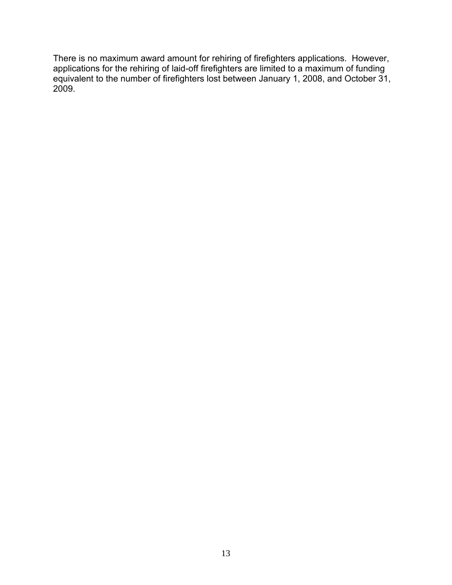There is no maximum award amount for rehiring of firefighters applications. However, applications for the rehiring of laid-off firefighters are limited to a maximum of funding equivalent to the number of firefighters lost between January 1, 2008, and October 31, 2009.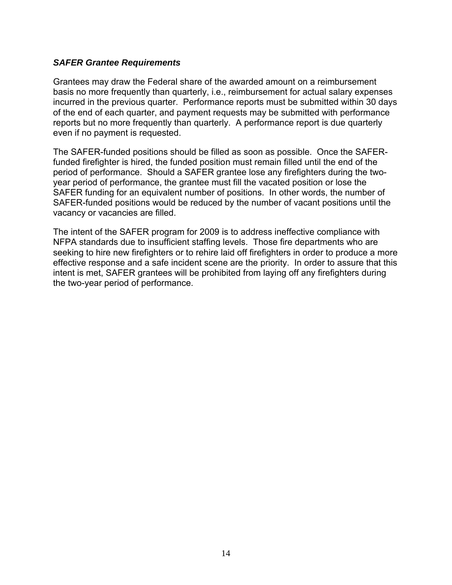#### *SAFER Grantee Requirements*

Grantees may draw the Federal share of the awarded amount on a reimbursement basis no more frequently than quarterly, i.e., reimbursement for actual salary expenses incurred in the previous quarter. Performance reports must be submitted within 30 days of the end of each quarter, and payment requests may be submitted with performance reports but no more frequently than quarterly. A performance report is due quarterly even if no payment is requested.

The SAFER-funded positions should be filled as soon as possible. Once the SAFERfunded firefighter is hired, the funded position must remain filled until the end of the period of performance. Should a SAFER grantee lose any firefighters during the twoyear period of performance, the grantee must fill the vacated position or lose the SAFER funding for an equivalent number of positions. In other words, the number of SAFER-funded positions would be reduced by the number of vacant positions until the vacancy or vacancies are filled.

The intent of the SAFER program for 2009 is to address ineffective compliance with NFPA standards due to insufficient staffing levels. Those fire departments who are seeking to hire new firefighters or to rehire laid off firefighters in order to produce a more effective response and a safe incident scene are the priority. In order to assure that this intent is met, SAFER grantees will be prohibited from laying off any firefighters during the two-year period of performance.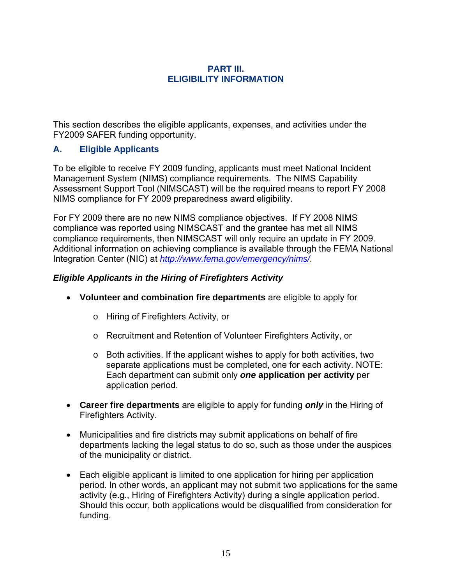#### **PART III. ELIGIBILITY INFORMATION**

<span id="page-19-0"></span>This section describes the eligible applicants, expenses, and activities under the FY2009 SAFER funding opportunity.

# **A. Eligible Applicants**

To be eligible to receive FY 2009 funding, applicants must meet National Incident Management System (NIMS) compliance requirements. The NIMS Capability Assessment Support Tool (NIMSCAST) will be the required means to report FY 2008 NIMS compliance for FY 2009 preparedness award eligibility.

For FY 2009 there are no new NIMS compliance objectives. If FY 2008 NIMS compliance was reported using NIMSCAST and the grantee has met all NIMS compliance requirements, then NIMSCAST will only require an update in FY 2009. Additional information on achieving compliance is available through the FEMA National Integration Center (NIC) at *http://www.fema.gov/emergency/nims/.* 

## *Eligible Applicants in the Hiring of Firefighters Activity*

- **Volunteer and combination fire departments** are eligible to apply for
	- o Hiring of Firefighters Activity, or
	- o Recruitment and Retention of Volunteer Firefighters Activity, or
	- $\circ$  Both activities. If the applicant wishes to apply for both activities, two separate applications must be completed, one for each activity. NOTE: Each department can submit only *one* **application per activity** per application period.
- **Career fire departments** are eligible to apply for funding *only* in the Hiring of Firefighters Activity.
- Municipalities and fire districts may submit applications on behalf of fire departments lacking the legal status to do so, such as those under the auspices of the municipality or district.
- Each eligible applicant is limited to one application for hiring per application period. In other words, an applicant may not submit two applications for the same activity (e.g., Hiring of Firefighters Activity) during a single application period. Should this occur, both applications would be disqualified from consideration for funding.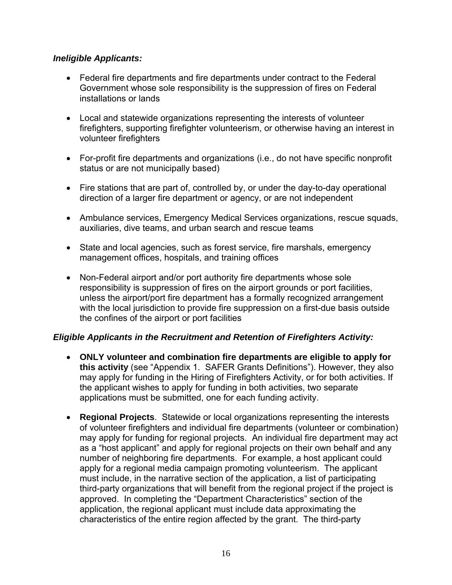## *Ineligible Applicants:*

- Federal fire departments and fire departments under contract to the Federal Government whose sole responsibility is the suppression of fires on Federal installations or lands
- Local and statewide organizations representing the interests of volunteer firefighters, supporting firefighter volunteerism, or otherwise having an interest in volunteer firefighters
- For-profit fire departments and organizations (i.e., do not have specific nonprofit status or are not municipally based)
- Fire stations that are part of, controlled by, or under the day-to-day operational direction of a larger fire department or agency, or are not independent
- Ambulance services, Emergency Medical Services organizations, rescue squads, auxiliaries, dive teams, and urban search and rescue teams
- State and local agencies, such as forest service, fire marshals, emergency management offices, hospitals, and training offices
- Non-Federal airport and/or port authority fire departments whose sole responsibility is suppression of fires on the airport grounds or port facilities, unless the airport/port fire department has a formally recognized arrangement with the local jurisdiction to provide fire suppression on a first-due basis outside the confines of the airport or port facilities

# *Eligible Applicants in the Recruitment and Retention of Firefighters Activity:*

- **ONLY volunteer and combination fire departments are eligible to apply for this activity** (see "Appendix 1. SAFER Grants Definitions"). However, they also may apply for funding in the Hiring of Firefighters Activity, or for both activities. If the applicant wishes to apply for funding in both activities, two separate applications must be submitted, one for each funding activity.
- **Regional Projects**. Statewide or local organizations representing the interests of volunteer firefighters and individual fire departments (volunteer or combination) may apply for funding for regional projects. An individual fire department may act as a "host applicant" and apply for regional projects on their own behalf and any number of neighboring fire departments. For example, a host applicant could apply for a regional media campaign promoting volunteerism. The applicant must include, in the narrative section of the application, a list of participating third-party organizations that will benefit from the regional project if the project is approved. In completing the "Department Characteristics" section of the application, the regional applicant must include data approximating the characteristics of the entire region affected by the grant. The third-party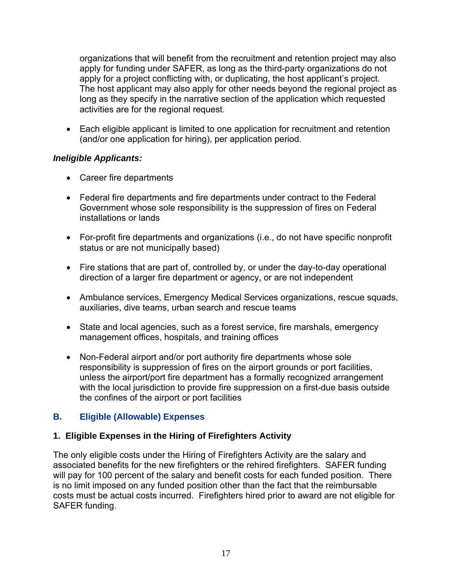organizations that will benefit from the recruitment and retention project may also apply for funding under SAFER, as long as the third-party organizations do not apply for a project conflicting with, or duplicating, the host applicant's project. The host applicant may also apply for other needs beyond the regional project as long as they specify in the narrative section of the application which requested activities are for the regional request.

• Each eligible applicant is limited to one application for recruitment and retention (and/or one application for hiring), per application period.

#### *Ineligible Applicants:*

- Career fire departments
- Federal fire departments and fire departments under contract to the Federal Government whose sole responsibility is the suppression of fires on Federal installations or lands
- For-profit fire departments and organizations (i.e., do not have specific nonprofit status or are not municipally based)
- Fire stations that are part of, controlled by, or under the day-to-day operational direction of a larger fire department or agency, or are not independent
- Ambulance services, Emergency Medical Services organizations, rescue squads, auxiliaries, dive teams, urban search and rescue teams
- State and local agencies, such as a forest service, fire marshals, emergency management offices, hospitals, and training offices
- Non-Federal airport and/or port authority fire departments whose sole responsibility is suppression of fires on the airport grounds or port facilities, unless the airport/port fire department has a formally recognized arrangement with the local jurisdiction to provide fire suppression on a first-due basis outside the confines of the airport or port facilities

# **B. Eligible (Allowable) Expenses**

# **1. Eligible Expenses in the Hiring of Firefighters Activity**

The only eligible costs under the Hiring of Firefighters Activity are the salary and associated benefits for the new firefighters or the rehired firefighters. SAFER funding will pay for 100 percent of the salary and benefit costs for each funded position. There is no limit imposed on any funded position other than the fact that the reimbursable costs must be actual costs incurred. Firefighters hired prior to award are not eligible for SAFER funding.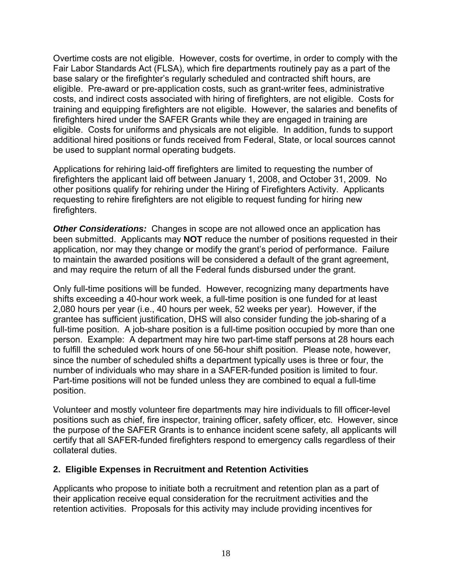Overtime costs are not eligible. However, costs for overtime, in order to comply with the Fair Labor Standards Act (FLSA), which fire departments routinely pay as a part of the base salary or the firefighter's regularly scheduled and contracted shift hours, are eligible. Pre-award or pre-application costs, such as grant-writer fees, administrative costs, and indirect costs associated with hiring of firefighters, are not eligible. Costs for training and equipping firefighters are not eligible. However, the salaries and benefits of firefighters hired under the SAFER Grants while they are engaged in training are eligible. Costs for uniforms and physicals are not eligible. In addition, funds to support additional hired positions or funds received from Federal, State, or local sources cannot be used to supplant normal operating budgets.

Applications for rehiring laid-off firefighters are limited to requesting the number of firefighters the applicant laid off between January 1, 2008, and October 31, 2009. No other positions qualify for rehiring under the Hiring of Firefighters Activity. Applicants requesting to rehire firefighters are not eligible to request funding for hiring new firefighters.

**Other Considerations:** Changes in scope are not allowed once an application has been submitted. Applicants may **NOT** reduce the number of positions requested in their application, nor may they change or modify the grant's period of performance. Failure to maintain the awarded positions will be considered a default of the grant agreement, and may require the return of all the Federal funds disbursed under the grant.

Only full-time positions will be funded. However, recognizing many departments have shifts exceeding a 40-hour work week, a full-time position is one funded for at least 2,080 hours per year (i.e., 40 hours per week, 52 weeks per year). However, if the grantee has sufficient justification, DHS will also consider funding the job-sharing of a full-time position. A job-share position is a full-time position occupied by more than one person. Example: A department may hire two part-time staff persons at 28 hours each to fulfill the scheduled work hours of one 56-hour shift position. Please note, however, since the number of scheduled shifts a department typically uses is three or four, the number of individuals who may share in a SAFER-funded position is limited to four. Part-time positions will not be funded unless they are combined to equal a full-time position.

Volunteer and mostly volunteer fire departments may hire individuals to fill officer-level positions such as chief, fire inspector, training officer, safety officer, etc. However, since the purpose of the SAFER Grants is to enhance incident scene safety, all applicants will certify that all SAFER-funded firefighters respond to emergency calls regardless of their collateral duties.

## **2. Eligible Expenses in Recruitment and Retention Activities**

Applicants who propose to initiate both a recruitment and retention plan as a part of their application receive equal consideration for the recruitment activities and the retention activities. Proposals for this activity may include providing incentives for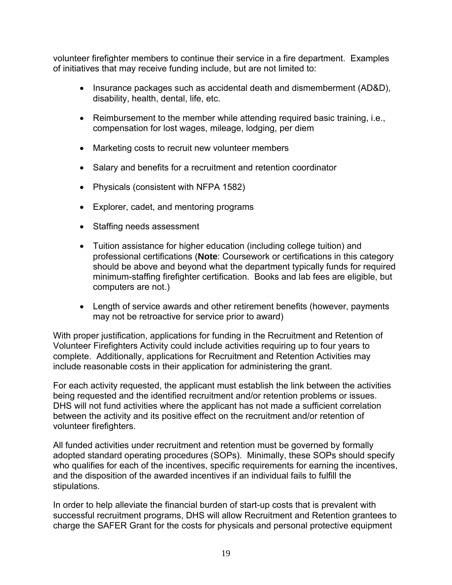volunteer firefighter members to continue their service in a fire department. Examples of initiatives that may receive funding include, but are not limited to:

- Insurance packages such as accidental death and dismemberment (AD&D), disability, health, dental, life, etc.
- Reimbursement to the member while attending required basic training, i.e., compensation for lost wages, mileage, lodging, per diem
- Marketing costs to recruit new volunteer members
- Salary and benefits for a recruitment and retention coordinator
- Physicals (consistent with NFPA 1582)
- Explorer, cadet, and mentoring programs
- Staffing needs assessment
- Tuition assistance for higher education (including college tuition) and professional certifications (**Note**: Coursework or certifications in this category should be above and beyond what the department typically funds for required minimum-staffing firefighter certification. Books and lab fees are eligible, but computers are not.)
- Length of service awards and other retirement benefits (however, payments may not be retroactive for service prior to award)

With proper justification, applications for funding in the Recruitment and Retention of Volunteer Firefighters Activity could include activities requiring up to four years to complete. Additionally, applications for Recruitment and Retention Activities may include reasonable costs in their application for administering the grant.

For each activity requested, the applicant must establish the link between the activities being requested and the identified recruitment and/or retention problems or issues. DHS will not fund activities where the applicant has not made a sufficient correlation between the activity and its positive effect on the recruitment and/or retention of volunteer firefighters.

All funded activities under recruitment and retention must be governed by formally adopted standard operating procedures (SOPs). Minimally, these SOPs should specify who qualifies for each of the incentives, specific requirements for earning the incentives, and the disposition of the awarded incentives if an individual fails to fulfill the stipulations.

In order to help alleviate the financial burden of start-up costs that is prevalent with successful recruitment programs, DHS will allow Recruitment and Retention grantees to charge the SAFER Grant for the costs for physicals and personal protective equipment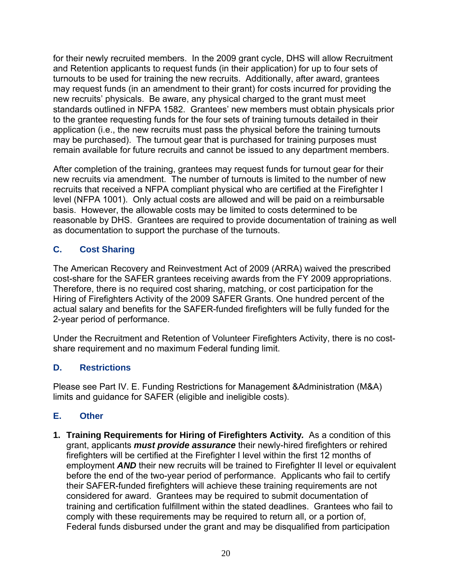for their newly recruited members. In the 2009 grant cycle, DHS will allow Recruitment and Retention applicants to request funds (in their application) for up to four sets of turnouts to be used for training the new recruits. Additionally, after award, grantees may request funds (in an amendment to their grant) for costs incurred for providing the new recruits' physicals. Be aware, any physical charged to the grant must meet standards outlined in NFPA 1582. Grantees' new members must obtain physicals prior to the grantee requesting funds for the four sets of training turnouts detailed in their application (i.e., the new recruits must pass the physical before the training turnouts may be purchased). The turnout gear that is purchased for training purposes must remain available for future recruits and cannot be issued to any department members.

After completion of the training, grantees may request funds for turnout gear for their new recruits via amendment. The number of turnouts is limited to the number of new recruits that received a NFPA compliant physical who are certified at the Firefighter I level (NFPA 1001). Only actual costs are allowed and will be paid on a reimbursable basis. However, the allowable costs may be limited to costs determined to be reasonable by DHS. Grantees are required to provide documentation of training as well as documentation to support the purchase of the turnouts.

# **C. Cost Sharing**

The American Recovery and Reinvestment Act of 2009 (ARRA) waived the prescribed cost-share for the SAFER grantees receiving awards from the FY 2009 appropriations. Therefore, there is no required cost sharing, matching, or cost participation for the Hiring of Firefighters Activity of the 2009 SAFER Grants. One hundred percent of the actual salary and benefits for the SAFER-funded firefighters will be fully funded for the 2-year period of performance.

Under the Recruitment and Retention of Volunteer Firefighters Activity, there is no costshare requirement and no maximum Federal funding limit.

# **D. Restrictions**

Please see Part IV. E. Funding Restrictions for Management &Administration (M&A) limits and guidance for SAFER (eligible and ineligible costs).

## **E. Other**

**1. Training Requirements for Hiring of Firefighters Activity***.* As a condition of this grant, applicants *must provide assurance* their newly-hired firefighters or rehired firefighters will be certified at the Firefighter I level within the first 12 months of employment *AND* their new recruits will be trained to Firefighter II level or equivalent before the end of the two-year period of performance. Applicants who fail to certify their SAFER-funded firefighters will achieve these training requirements are not considered for award. Grantees may be required to submit documentation of training and certification fulfillment within the stated deadlines. Grantees who fail to comply with these requirements may be required to return all, or a portion of, Federal funds disbursed under the grant and may be disqualified from participation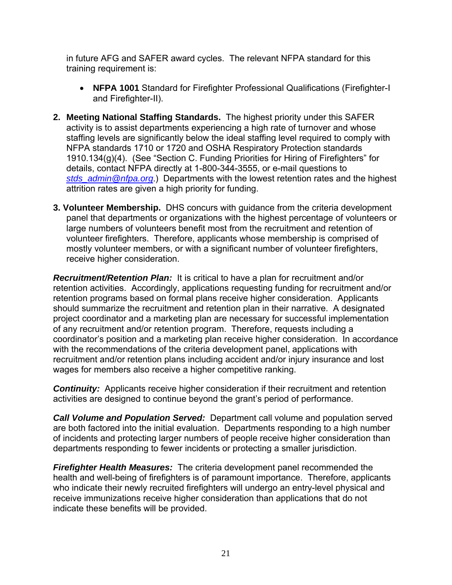in future AFG and SAFER award cycles. The relevant NFPA standard for this training requirement is:

- **NFPA 1001** Standard for Firefighter Professional Qualifications (Firefighter-I and Firefighter-II).
- **2. Meeting National Staffing Standards.** The highest priority under this SAFER activity is to assist departments experiencing a high rate of turnover and whose staffing levels are significantly below the ideal staffing level required to comply with NFPA standards 1710 or 1720 and OSHA Respiratory Protection standards 1910.134(g)(4). (See "Section C. Funding Priorities for Hiring of Firefighters" for details, contact NFPA directly at 1-800-344-3555, or e-mail questions to *stds\_admin@nfpa.org*.) Departments with the lowest retention rates and the highest attrition rates are given a high priority for funding.
- **3. Volunteer Membership.** DHS concurs with guidance from the criteria development panel that departments or organizations with the highest percentage of volunteers or large numbers of volunteers benefit most from the recruitment and retention of volunteer firefighters. Therefore, applicants whose membership is comprised of mostly volunteer members, or with a significant number of volunteer firefighters, receive higher consideration.

*Recruitment/Retention Plan:* It is critical to have a plan for recruitment and/or retention activities. Accordingly, applications requesting funding for recruitment and/or retention programs based on formal plans receive higher consideration. Applicants should summarize the recruitment and retention plan in their narrative. A designated project coordinator and a marketing plan are necessary for successful implementation of any recruitment and/or retention program. Therefore, requests including a coordinator's position and a marketing plan receive higher consideration. In accordance with the recommendations of the criteria development panel, applications with recruitment and/or retention plans including accident and/or injury insurance and lost wages for members also receive a higher competitive ranking.

*Continuity:* Applicants receive higher consideration if their recruitment and retention activities are designed to continue beyond the grant's period of performance.

*Call Volume and Population Served:* Department call volume and population served are both factored into the initial evaluation. Departments responding to a high number of incidents and protecting larger numbers of people receive higher consideration than departments responding to fewer incidents or protecting a smaller jurisdiction.

*Firefighter Health Measures:* The criteria development panel recommended the health and well-being of firefighters is of paramount importance. Therefore, applicants who indicate their newly recruited firefighters will undergo an entry-level physical and receive immunizations receive higher consideration than applications that do not indicate these benefits will be provided.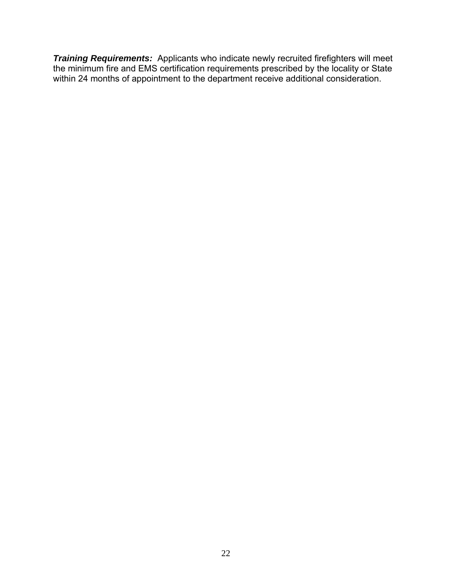*Training Requirements:* Applicants who indicate newly recruited firefighters will meet the minimum fire and EMS certification requirements prescribed by the locality or State within 24 months of appointment to the department receive additional consideration.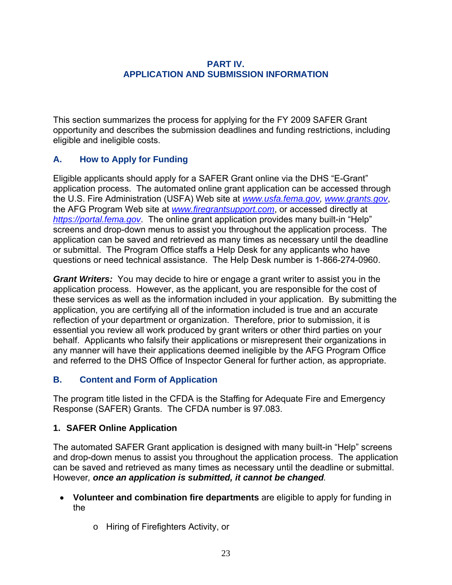#### **PART IV. APPLICATION AND SUBMISSION INFORMATION**

<span id="page-27-0"></span>This section summarizes the process for applying for the FY 2009 SAFER Grant opportunity and describes the submission deadlines and funding restrictions, including eligible and ineligible costs.

# **A. How to Apply for Funding**

Eligible applicants should apply for a SAFER Grant online via the DHS "E-Grant" application process. The automated online grant application can be accessed through the U.S. Fire Administration (USFA) Web site at *www.usfa.fema.gov, www.grants.gov*, the AFG Program Web site at *www.firegrantsupport.com*, or accessed directly at *https://portal.fema.gov*. The online grant application provides many built-in "Help" screens and drop-down menus to assist you throughout the application process. The application can be saved and retrieved as many times as necessary until the deadline or submittal. The Program Office staffs a Help Desk for any applicants who have questions or need technical assistance. The Help Desk number is 1-866-274-0960.

*Grant Writers:* You may decide to hire or engage a grant writer to assist you in the application process. However, as the applicant, you are responsible for the cost of these services as well as the information included in your application. By submitting the application, you are certifying all of the information included is true and an accurate reflection of your department or organization. Therefore, prior to submission, it is essential you review all work produced by grant writers or other third parties on your behalf. Applicants who falsify their applications or misrepresent their organizations in any manner will have their applications deemed ineligible by the AFG Program Office and referred to the DHS Office of Inspector General for further action, as appropriate.

## **B. Content and Form of Application**

The program title listed in the CFDA is the Staffing for Adequate Fire and Emergency Response (SAFER) Grants. The CFDA number is 97.083.

## **1. SAFER Online Application**

 However*, once an application is submitted, it cannot be changed.* The automated SAFER Grant application is designed with many built-in "Help" screens and drop-down menus to assist you throughout the application process. The application can be saved and retrieved as many times as necessary until the deadline or submittal.

- **Volunteer and combination fire departments** are eligible to apply for funding in the
	- o Hiring of Firefighters Activity, or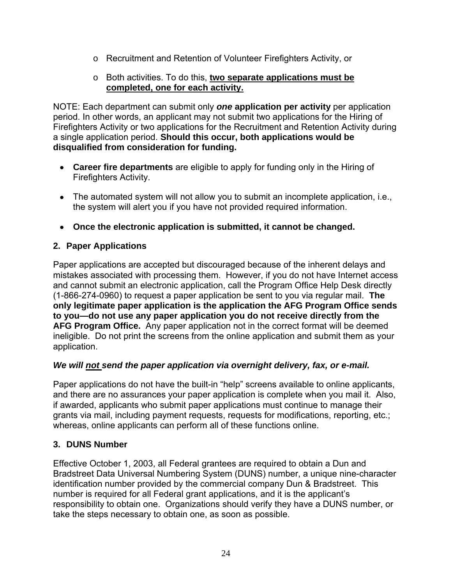- o Recruitment and Retention of Volunteer Firefighters Activity, or
- o Both activities. To do this, **two separate applications must be completed, one for each activity.**

NOTE: Each department can submit only *one* **application per activity** per application period. In other words, an applicant may not submit two applications for the Hiring of Firefighters Activity or two applications for the Recruitment and Retention Activity during a single application period. **Should this occur, both applications would be disqualified from consideration for funding.** 

- **Career fire departments** are eligible to apply for funding only in the Hiring of Firefighters Activity.
- The automated system will not allow you to submit an incomplete application, i.e., the system will alert you if you have not provided required information.
- **Once the electronic application is submitted, it cannot be changed.**

# **2. Paper Applications**

 application. Paper applications are accepted but discouraged because of the inherent delays and mistakes associated with processing them. However, if you do not have Internet access and cannot submit an electronic application, call the Program Office Help Desk directly (1-866-274-0960) to request a paper application be sent to you via regular mail. **The only legitimate paper application is the application the AFG Program Office sends to you—do not use any paper application you do not receive directly from the AFG Program Office.** Any paper application not in the correct format will be deemed ineligible. Do not print the screens from the online application and submit them as your

## *We will not send the paper application via overnight delivery, fax, or e-mail.*

Paper applications do not have the built-in "help" screens available to online applicants, and there are no assurances your paper application is complete when you mail it. Also, if awarded, applicants who submit paper applications must continue to manage their grants via mail, including payment requests, requests for modifications, reporting, etc.; whereas, online applicants can perform all of these functions online.

## **3. DUNS Number**

Effective October 1, 2003, all Federal grantees are required to obtain a Dun and Bradstreet Data Universal Numbering System (DUNS) number, a unique nine-character identification number provided by the commercial company Dun & Bradstreet. This number is required for all Federal grant applications, and it is the applicant's responsibility to obtain one. Organizations should verify they have a DUNS number, or take the steps necessary to obtain one, as soon as possible.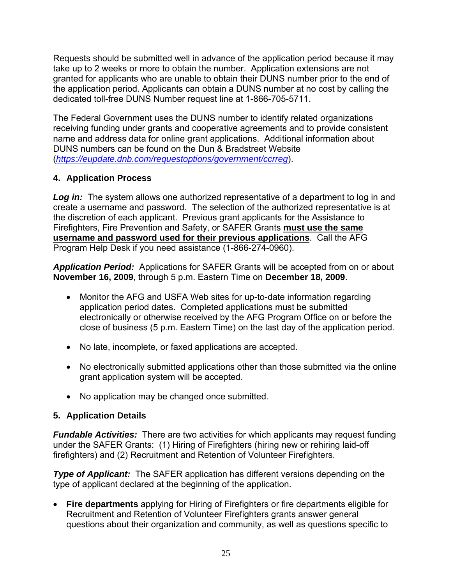Requests should be submitted well in advance of the application period because it may take up to 2 weeks or more to obtain the number. Application extensions are not granted for applicants who are unable to obtain their DUNS number prior to the end of the application period. Applicants can obtain a DUNS number at no cost by calling the dedicated toll-free DUNS Number request line at 1-866-705-5711.

The Federal Government uses the DUNS number to identify related organizations receiving funding under grants and cooperative agreements and to provide consistent name and address data for online grant applications. Additional information about DUNS numbers can be found on the Dun & Bradstreet Website (*https://eupdate.dnb.com/requestoptions/government/ccrreg*).

# **4. Application Process**

**Log in:** The system allows one authorized representative of a department to log in and create a username and password. The selection of the authorized representative is at the discretion of each applicant. Previous grant applicants for the Assistance to Firefighters, Fire Prevention and Safety, or SAFER Grants **must use the same username and password used for their previous applications**. Call the AFG Program Help Desk if you need assistance (1-866-274-0960).

*Application Period:* Applications for SAFER Grants will be accepted from on or about **November 16, 2009**, through 5 p.m. Eastern Time on **December 18, 2009**.

- Monitor the AFG and USFA Web sites for up-to-date information regarding application period dates. Completed applications must be submitted electronically or otherwise received by the AFG Program Office on or before the close of business (5 p.m. Eastern Time) on the last day of the application period.
- No late, incomplete, or faxed applications are accepted.
- No electronically submitted applications other than those submitted via the online grant application system will be accepted.
- No application may be changed once submitted.

# **5. Application Details**

*Fundable Activities:* There are two activities for which applicants may request funding under the SAFER Grants: (1) Hiring of Firefighters (hiring new or rehiring laid-off firefighters) and (2) Recruitment and Retention of Volunteer Firefighters.

*Type of Applicant:* The SAFER application has different versions depending on the type of applicant declared at the beginning of the application.

 **Fire departments** applying for Hiring of Firefighters or fire departments eligible for Recruitment and Retention of Volunteer Firefighters grants answer general questions about their organization and community, as well as questions specific to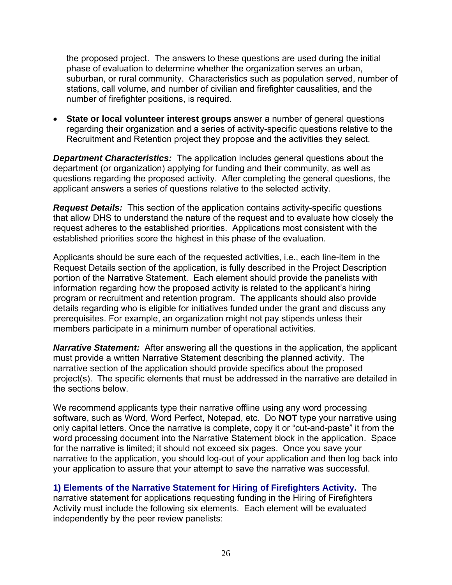the proposed project. The answers to these questions are used during the initial phase of evaluation to determine whether the organization serves an urban, suburban, or rural community. Characteristics such as population served, number of stations, call volume, and number of civilian and firefighter causalities, and the number of firefighter positions, is required.

 **State or local volunteer interest groups** answer a number of general questions regarding their organization and a series of activity-specific questions relative to the Recruitment and Retention project they propose and the activities they select.

*Department Characteristics:* The application includes general questions about the department (or organization) applying for funding and their community, as well as questions regarding the proposed activity. After completing the general questions, the applicant answers a series of questions relative to the selected activity.

*Request Details:* This section of the application contains activity-specific questions that allow DHS to understand the nature of the request and to evaluate how closely the request adheres to the established priorities. Applications most consistent with the established priorities score the highest in this phase of the evaluation.

Applicants should be sure each of the requested activities, i.e., each line-item in the Request Details section of the application, is fully described in the Project Description portion of the Narrative Statement. Each element should provide the panelists with information regarding how the proposed activity is related to the applicant's hiring program or recruitment and retention program. The applicants should also provide details regarding who is eligible for initiatives funded under the grant and discuss any prerequisites. For example, an organization might not pay stipends unless their members participate in a minimum number of operational activities.

**Narrative Statement:** After answering all the questions in the application, the applicant must provide a written Narrative Statement describing the planned activity. The narrative section of the application should provide specifics about the proposed project(s). The specific elements that must be addressed in the narrative are detailed in the sections below.

We recommend applicants type their narrative offline using any word processing software, such as Word, Word Perfect, Notepad, etc. Do **NOT** type your narrative using only capital letters. Once the narrative is complete, copy it or "cut-and-paste" it from the word processing document into the Narrative Statement block in the application. Space for the narrative is limited; it should not exceed six pages. Once you save your narrative to the application, you should log-out of your application and then log back into your application to assure that your attempt to save the narrative was successful.

**1) Elements of the Narrative Statement for Hiring of Firefighters Activity.** The narrative statement for applications requesting funding in the Hiring of Firefighters Activity must include the following six elements. Each element will be evaluated independently by the peer review panelists: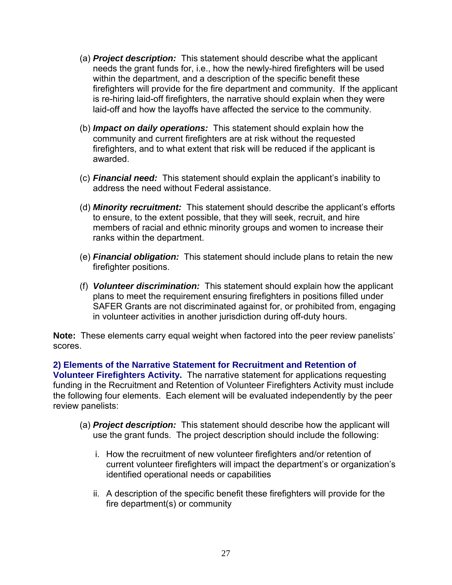- (a) *Project description:* This statement should describe what the applicant needs the grant funds for, i.e., how the newly-hired firefighters will be used within the department, and a description of the specific benefit these firefighters will provide for the fire department and community. If the applicant is re-hiring laid-off firefighters, the narrative should explain when they were laid-off and how the layoffs have affected the service to the community.
- (b) *Impact on daily operations:* This statement should explain how the community and current firefighters are at risk without the requested firefighters, and to what extent that risk will be reduced if the applicant is awarded.
- (c) *Financial need:* This statement should explain the applicant's inability to address the need without Federal assistance.
- (d) *Minority recruitment:* This statement should describe the applicant's efforts to ensure, to the extent possible, that they will seek, recruit, and hire members of racial and ethnic minority groups and women to increase their ranks within the department.
- (e) *Financial obligation:* This statement should include plans to retain the new firefighter positions.
- (f) *Volunteer discrimination:* This statement should explain how the applicant plans to meet the requirement ensuring firefighters in positions filled under SAFER Grants are not discriminated against for, or prohibited from, engaging in volunteer activities in another jurisdiction during off-duty hours.

**Note:** These elements carry equal weight when factored into the peer review panelists' scores.

**2) Elements of the Narrative Statement for Recruitment and Retention of Volunteer Firefighters Activity.** The narrative statement for applications requesting funding in the Recruitment and Retention of Volunteer Firefighters Activity must include the following four elements. Each element will be evaluated independently by the peer review panelists:

- (a) *Project description:* This statement should describe how the applicant will use the grant funds. The project description should include the following:
	- i. How the recruitment of new volunteer firefighters and/or retention of current volunteer firefighters will impact the department's or organization's identified operational needs or capabilities
	- ii. A description of the specific benefit these firefighters will provide for the fire department(s) or community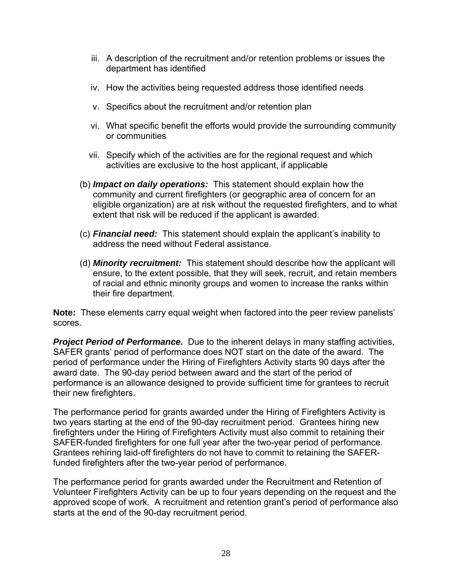- iii. A description of the recruitment and/or retention problems or issues the department has identified
- iv. How the activities being requested address those identified needs
- v. Specifics about the recruitment and/or retention plan
- vi. What specific benefit the efforts would provide the surrounding community or communities
- vii. Specify which of the activities are for the regional request and which activities are exclusive to the host applicant, if applicable
- (b) *Impact on daily operations:* This statement should explain how the community and current firefighters (or geographic area of concern for an eligible organization) are at risk without the requested firefighters, and to what extent that risk will be reduced if the applicant is awarded.
- (c) *Financial need:* This statement should explain the applicant's inability to address the need without Federal assistance.
- (d) *Minority recruitment:* This statement should describe how the applicant will ensure, to the extent possible, that they will seek, recruit, and retain members of racial and ethnic minority groups and women to increase the ranks within their fire department.

**Note:** These elements carry equal weight when factored into the peer review panelists' scores.

**Project Period of Performance.** Due to the inherent delays in many staffing activities, SAFER grants' period of performance does NOT start on the date of the award. The period of performance under the Hiring of Firefighters Activity starts 90 days after the award date. The 90-day period between award and the start of the period of performance is an allowance designed to provide sufficient time for grantees to recruit their new firefighters.

The performance period for grants awarded under the Hiring of Firefighters Activity is two years starting at the end of the 90-day recruitment period. Grantees hiring new firefighters under the Hiring of Firefighters Activity must also commit to retaining their SAFER-funded firefighters for one full year after the two-year period of performance. Grantees rehiring laid-off firefighters do not have to commit to retaining the SAFERfunded firefighters after the two-year period of performance.

The performance period for grants awarded under the Recruitment and Retention of Volunteer Firefighters Activity can be up to four years depending on the request and the approved scope of work. A recruitment and retention grant's period of performance also starts at the end of the 90-day recruitment period.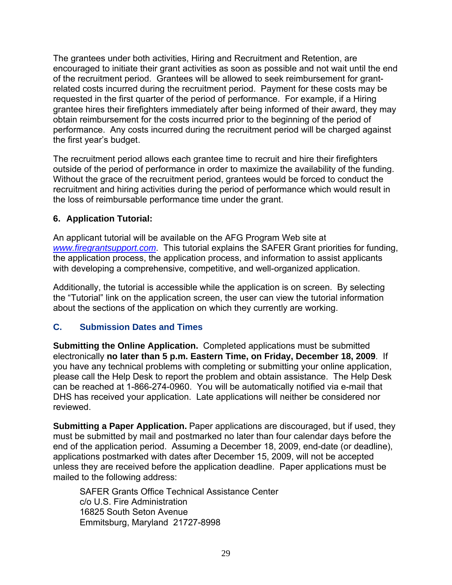<span id="page-33-0"></span>The grantees under both activities, Hiring and Recruitment and Retention, are encouraged to initiate their grant activities as soon as possible and not wait until the end of the recruitment period. Grantees will be allowed to seek reimbursement for grantrelated costs incurred during the recruitment period. Payment for these costs may be requested in the first quarter of the period of performance. For example, if a Hiring grantee hires their firefighters immediately after being informed of their award, they may obtain reimbursement for the costs incurred prior to the beginning of the period of performance. Any costs incurred during the recruitment period will be charged against the first year's budget.

The recruitment period allows each grantee time to recruit and hire their firefighters outside of the period of performance in order to maximize the availability of the funding. Without the grace of the recruitment period, grantees would be forced to conduct the recruitment and hiring activities during the period of performance which would result in the loss of reimbursable performance time under the grant.

# **6. Application Tutorial:**

An applicant tutorial will be available on the AFG Program Web site at *www.firegrantsupport.com*. This tutorial explains the SAFER Grant priorities for funding, the application process, the application process, and information to assist applicants with developing a comprehensive, competitive, and well-organized application.

Additionally, the tutorial is accessible while the application is on screen. By selecting the "Tutorial" link on the application screen, the user can view the tutorial information about the sections of the application on which they currently are working.

# **C. Submission Dates and Times**

**Submitting the Online Application.** Completed applications must be submitted electronically **no later than 5 p.m. Eastern Time, on Friday, December 18, 2009**. If you have any technical problems with completing or submitting your online application, please call the Help Desk to report the problem and obtain assistance. The Help Desk can be reached at 1-866-274-0960. You will be automatically notified via e-mail that DHS has received your application. Late applications will neither be considered nor reviewed.

**Submitting a Paper Application.** Paper applications are discouraged, but if used, they must be submitted by mail and postmarked no later than four calendar days before the end of the application period. Assuming a December 18, 2009, end-date (or deadline), applications postmarked with dates after December 15, 2009, will not be accepted unless they are received before the application deadline. Paper applications must be mailed to the following address:

SAFER Grants Office Technical Assistance Center c/o U.S. Fire Administration 16825 South Seton Avenue Emmitsburg, Maryland 21727-8998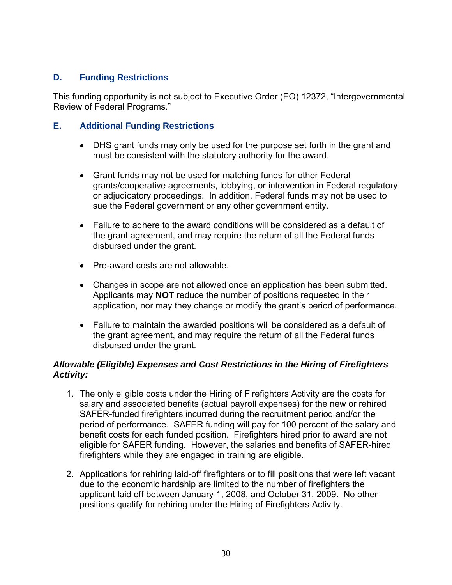## <span id="page-34-0"></span>**D. Funding Restrictions**

This funding opportunity is not subject to Executive Order (EO) 12372, "Intergovernmental Review of Federal Programs."

#### **E. Additional Funding Restrictions**

- DHS grant funds may only be used for the purpose set forth in the grant and must be consistent with the statutory authority for the award.
- Grant funds may not be used for matching funds for other Federal grants/cooperative agreements, lobbying, or intervention in Federal regulatory or adjudicatory proceedings. In addition, Federal funds may not be used to sue the Federal government or any other government entity.
- Failure to adhere to the award conditions will be considered as a default of the grant agreement, and may require the return of all the Federal funds disbursed under the grant.
- Pre-award costs are not allowable.
- Changes in scope are not allowed once an application has been submitted. Applicants may **NOT** reduce the number of positions requested in their application, nor may they change or modify the grant's period of performance.
- Failure to maintain the awarded positions will be considered as a default of the grant agreement, and may require the return of all the Federal funds disbursed under the grant.

#### *Allowable (Eligible) Expenses and Cost Restrictions in the Hiring of Firefighters Activity:*

- 1. The only eligible costs under the Hiring of Firefighters Activity are the costs for salary and associated benefits (actual payroll expenses) for the new or rehired SAFER-funded firefighters incurred during the recruitment period and/or the period of performance. SAFER funding will pay for 100 percent of the salary and benefit costs for each funded position. Firefighters hired prior to award are not eligible for SAFER funding. However, the salaries and benefits of SAFER-hired firefighters while they are engaged in training are eligible.
- 2. Applications for rehiring laid-off firefighters or to fill positions that were left vacant due to the economic hardship are limited to the number of firefighters the applicant laid off between January 1, 2008, and October 31, 2009. No other positions qualify for rehiring under the Hiring of Firefighters Activity.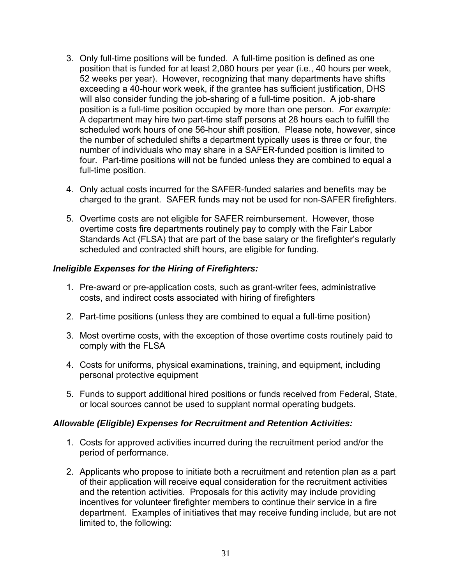- position is a full-time position occupied by more than one person. *For example:* 3. Only full-time positions will be funded. A full-time position is defined as one position that is funded for at least 2,080 hours per year (i.e., 40 hours per week, 52 weeks per year). However, recognizing that many departments have shifts exceeding a 40-hour work week, if the grantee has sufficient justification, DHS will also consider funding the job-sharing of a full-time position. A job-share A department may hire two part-time staff persons at 28 hours each to fulfill the scheduled work hours of one 56-hour shift position. Please note, however, since the number of scheduled shifts a department typically uses is three or four, the number of individuals who may share in a SAFER-funded position is limited to four. Part-time positions will not be funded unless they are combined to equal a full-time position.
- 4. Only actual costs incurred for the SAFER-funded salaries and benefits may be charged to the grant. SAFER funds may not be used for non-SAFER firefighters.
- 5. Overtime costs are not eligible for SAFER reimbursement. However, those overtime costs fire departments routinely pay to comply with the Fair Labor Standards Act (FLSA) that are part of the base salary or the firefighter's regularly scheduled and contracted shift hours, are eligible for funding.

#### *Ineligible Expenses for the Hiring of Firefighters:*

- 1. Pre-award or pre-application costs, such as grant-writer fees, administrative costs, and indirect costs associated with hiring of firefighters
- 2. Part-time positions (unless they are combined to equal a full-time position)
- 3. Most overtime costs, with the exception of those overtime costs routinely paid to comply with the FLSA
- 4. Costs for uniforms, physical examinations, training, and equipment, including personal protective equipment
- 5. Funds to support additional hired positions or funds received from Federal, State, or local sources cannot be used to supplant normal operating budgets.

#### *Allowable (Eligible) Expenses for Recruitment and Retention Activities:*

- 1. Costs for approved activities incurred during the recruitment period and/or the period of performance.
- 2. Applicants who propose to initiate both a recruitment and retention plan as a part of their application will receive equal consideration for the recruitment activities and the retention activities. Proposals for this activity may include providing incentives for volunteer firefighter members to continue their service in a fire department. Examples of initiatives that may receive funding include, but are not limited to, the following: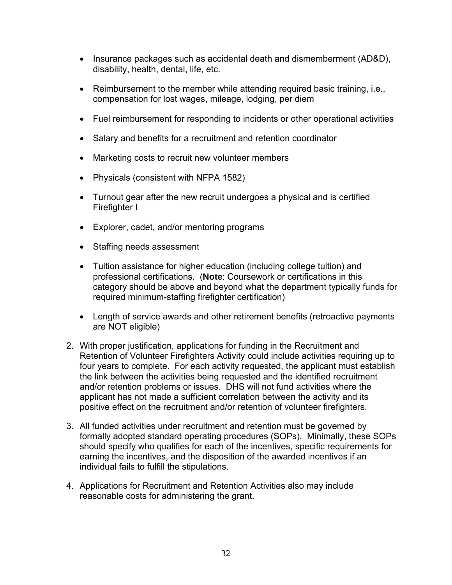- Insurance packages such as accidental death and dismemberment (AD&D), disability, health, dental, life, etc.
- Reimbursement to the member while attending required basic training, i.e., compensation for lost wages, mileage, lodging, per diem
- Fuel reimbursement for responding to incidents or other operational activities
- Salary and benefits for a recruitment and retention coordinator
- Marketing costs to recruit new volunteer members
- Physicals (consistent with NFPA 1582)
- Turnout gear after the new recruit undergoes a physical and is certified Firefighter I
- Explorer, cadet, and/or mentoring programs
- Staffing needs assessment
- Tuition assistance for higher education (including college tuition) and professional certifications. (**Note**: Coursework or certifications in this category should be above and beyond what the department typically funds for required minimum-staffing firefighter certification)
- Length of service awards and other retirement benefits (retroactive payments are NOT eligible)
- 2. With proper justification, applications for funding in the Recruitment and Retention of Volunteer Firefighters Activity could include activities requiring up to four years to complete. For each activity requested, the applicant must establish the link between the activities being requested and the identified recruitment and/or retention problems or issues. DHS will not fund activities where the applicant has not made a sufficient correlation between the activity and its positive effect on the recruitment and/or retention of volunteer firefighters.
- 3. All funded activities under recruitment and retention must be governed by formally adopted standard operating procedures (SOPs). Minimally, these SOPs should specify who qualifies for each of the incentives, specific requirements for earning the incentives, and the disposition of the awarded incentives if an individual fails to fulfill the stipulations.
- 4. Applications for Recruitment and Retention Activities also may include reasonable costs for administering the grant.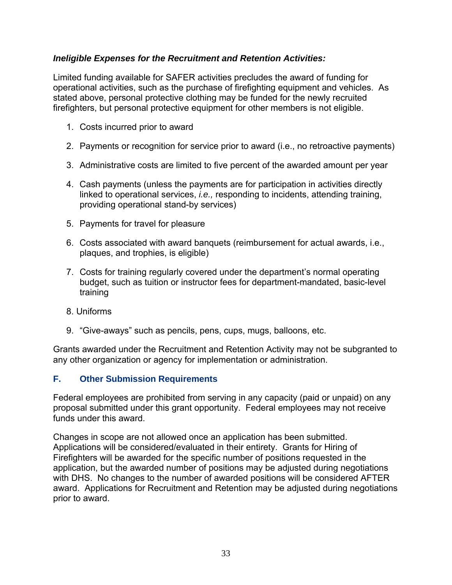## <span id="page-37-0"></span>*Ineligible Expenses for the Recruitment and Retention Activities:*

Limited funding available for SAFER activities precludes the award of funding for operational activities, such as the purchase of firefighting equipment and vehicles. As stated above, personal protective clothing may be funded for the newly recruited firefighters, but personal protective equipment for other members is not eligible.

- 1. Costs incurred prior to award
- 2. Payments or recognition for service prior to award (i.e., no retroactive payments)
- 3. Administrative costs are limited to five percent of the awarded amount per year
- 4. Cash payments (unless the payments are for participation in activities directly linked to operational services, *i.e.,* responding to incidents, attending training, providing operational stand-by services)
- 5. Payments for travel for pleasure
- 6. Costs associated with award banquets (reimbursement for actual awards, i.e., plaques, and trophies, is eligible)
- 7. Costs for training regularly covered under the department's normal operating budget, such as tuition or instructor fees for department-mandated, basic-level training
- 8. Uniforms
- 9. "Give-aways" such as pencils, pens, cups, mugs, balloons, etc.

Grants awarded under the Recruitment and Retention Activity may not be subgranted to any other organization or agency for implementation or administration.

#### **F. Other Submission Requirements**

funds under this award Federal employees are prohibited from serving in any capacity (paid or unpaid) on any proposal submitted under this grant opportunity. Federal employees may not receive

Changes in scope are not allowed once an application has been submitted. Applications will be considered/evaluated in their entirety. Grants for Hiring of Firefighters will be awarded for the specific number of positions requested in the application, but the awarded number of positions may be adjusted during negotiations with DHS. No changes to the number of awarded positions will be considered AFTER award. Applications for Recruitment and Retention may be adjusted during negotiations prior to award.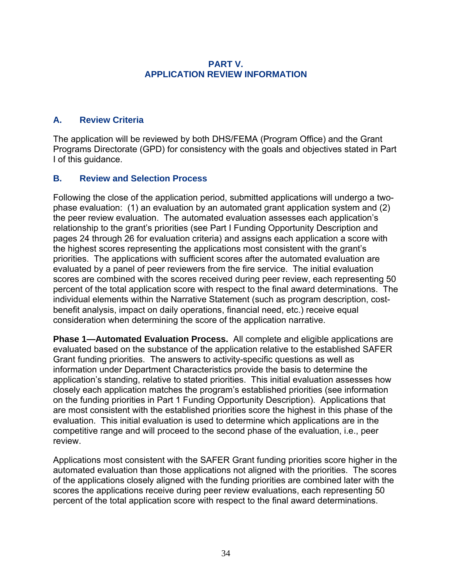#### **PART V. APPLICATION REVIEW INFORMATION**

## <span id="page-38-0"></span>**A. Review Criteria**

The application will be reviewed by both DHS/FEMA (Program Office) and the Grant Programs Directorate (GPD) for consistency with the goals and objectives stated in Part I of this guidance.

## **B. Review and Selection Process**

Following the close of the application period, submitted applications will undergo a twophase evaluation: (1) an evaluation by an automated grant application system and (2) the peer review evaluation. The automated evaluation assesses each application's relationship to the grant's priorities (see Part I Funding Opportunity Description and pages 24 through 26 for evaluation criteria) and assigns each application a score with the highest scores representing the applications most consistent with the grant's priorities. The applications with sufficient scores after the automated evaluation are evaluated by a panel of peer reviewers from the fire service. The initial evaluation scores are combined with the scores received during peer review, each representing 50 percent of the total application score with respect to the final award determinations. The individual elements within the Narrative Statement (such as program description, costbenefit analysis, impact on daily operations, financial need, etc.) receive equal consideration when determining the score of the application narrative.

**Phase 1—Automated Evaluation Process.** All complete and eligible applications are evaluated based on the substance of the application relative to the established SAFER Grant funding priorities. The answers to activity-specific questions as well as information under Department Characteristics provide the basis to determine the application's standing, relative to stated priorities. This initial evaluation assesses how closely each application matches the program's established priorities (see information on the funding priorities in Part 1 Funding Opportunity Description). Applications that are most consistent with the established priorities score the highest in this phase of the evaluation. This initial evaluation is used to determine which applications are in the competitive range and will proceed to the second phase of the evaluation, i.e., peer review.

Applications most consistent with the SAFER Grant funding priorities score higher in the automated evaluation than those applications not aligned with the priorities. The scores of the applications closely aligned with the funding priorities are combined later with the scores the applications receive during peer review evaluations, each representing 50 percent of the total application score with respect to the final award determinations.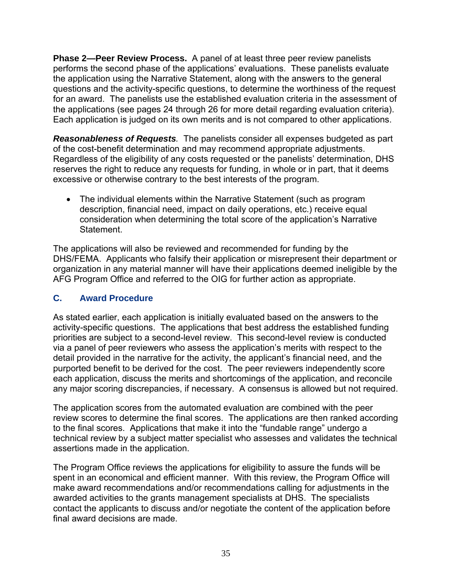<span id="page-39-0"></span>**Phase 2—Peer Review Process.** A panel of at least three peer review panelists performs the second phase of the applications' evaluations. These panelists evaluate the application using the Narrative Statement, along with the answers to the general questions and the activity-specific questions, to determine the worthiness of the request for an award. The panelists use the established evaluation criteria in the assessment of the applications (see pages 24 through 26 for more detail regarding evaluation criteria). Each application is judged on its own merits and is not compared to other applications.

*Reasonableness of Requests.* The panelists consider all expenses budgeted as part of the cost-benefit determination and may recommend appropriate adjustments. Regardless of the eligibility of any costs requested or the panelists' determination, DHS reserves the right to reduce any requests for funding, in whole or in part, that it deems excessive or otherwise contrary to the best interests of the program.

• The individual elements within the Narrative Statement (such as program description, financial need, impact on daily operations, etc.) receive equal consideration when determining the total score of the application's Narrative Statement.

The applications will also be reviewed and recommended for funding by the DHS/FEMA. Applicants who falsify their application or misrepresent their department or organization in any material manner will have their applications deemed ineligible by the AFG Program Office and referred to the OIG for further action as appropriate.

## **C. Award Procedure**

As stated earlier, each application is initially evaluated based on the answers to the activity-specific questions. The applications that best address the established funding priorities are subject to a second-level review. This second-level review is conducted via a panel of peer reviewers who assess the application's merits with respect to the detail provided in the narrative for the activity, the applicant's financial need, and the purported benefit to be derived for the cost. The peer reviewers independently score each application, discuss the merits and shortcomings of the application, and reconcile any major scoring discrepancies, if necessary. A consensus is allowed but not required.

The application scores from the automated evaluation are combined with the peer review scores to determine the final scores. The applications are then ranked according to the final scores. Applications that make it into the "fundable range" undergo a technical review by a subject matter specialist who assesses and validates the technical assertions made in the application.

The Program Office reviews the applications for eligibility to assure the funds will be spent in an economical and efficient manner. With this review, the Program Office will make award recommendations and/or recommendations calling for adjustments in the awarded activities to the grants management specialists at DHS. The specialists contact the applicants to discuss and/or negotiate the content of the application before final award decisions are made.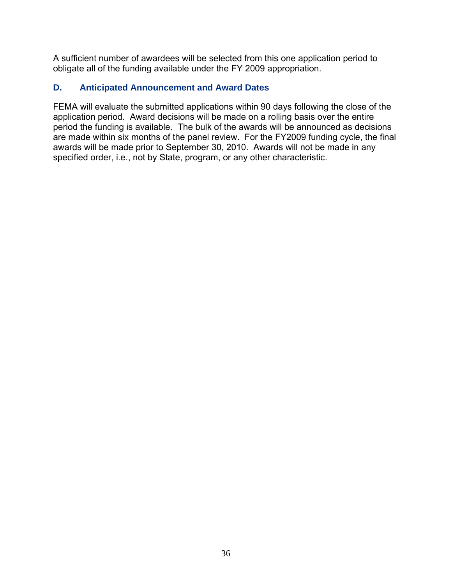<span id="page-40-0"></span>A sufficient number of awardees will be selected from this one application period to obligate all of the funding available under the FY 2009 appropriation.

# **D. Anticipated Announcement and Award Dates**

FEMA will evaluate the submitted applications within 90 days following the close of the application period. Award decisions will be made on a rolling basis over the entire period the funding is available. The bulk of the awards will be announced as decisions are made within six months of the panel review. For the FY2009 funding cycle, the final awards will be made prior to September 30, 2010. Awards will not be made in any specified order, i.e*.*, not by State, program, or any other characteristic.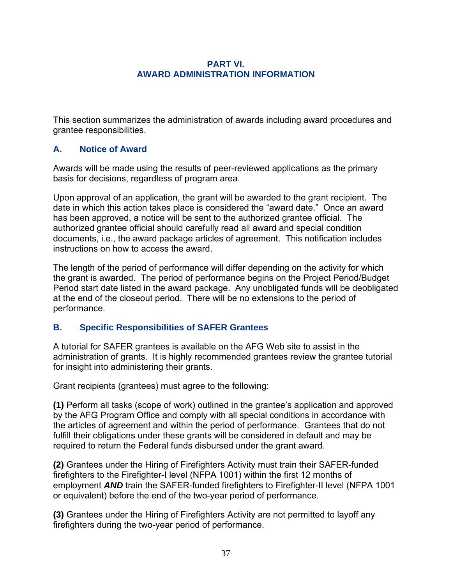#### **PART VI. AWARD ADMINISTRATION INFORMATION**

<span id="page-41-0"></span>This section summarizes the administration of awards including award procedures and grantee responsibilities.

## **A. Notice of Award**

Awards will be made using the results of peer-reviewed applications as the primary basis for decisions, regardless of program area.

Upon approval of an application, the grant will be awarded to the grant recipient. The date in which this action takes place is considered the "award date." Once an award has been approved, a notice will be sent to the authorized grantee official. The authorized grantee official should carefully read all award and special condition documents, i.e., the award package articles of agreement. This notification includes instructions on how to access the award.

The length of the period of performance will differ depending on the activity for which the grant is awarded. The period of performance begins on the Project Period/Budget Period start date listed in the award package. Any unobligated funds will be deobligated at the end of the closeout period. There will be no extensions to the period of performance.

## **B. Specific Responsibilities of SAFER Grantees**

A tutorial for SAFER grantees is available on the AFG Web site to assist in the administration of grants. It is highly recommended grantees review the grantee tutorial for insight into administering their grants.

Grant recipients (grantees) must agree to the following:

**(1)** Perform all tasks (scope of work) outlined in the grantee's application and approved by the AFG Program Office and comply with all special conditions in accordance with the articles of agreement and within the period of performance. Grantees that do not fulfill their obligations under these grants will be considered in default and may be required to return the Federal funds disbursed under the grant award.

**(2)** Grantees under the Hiring of Firefighters Activity must train their SAFER-funded firefighters to the Firefighter-I level (NFPA 1001) within the first 12 months of employment *AND* train the SAFER-funded firefighters to Firefighter-II level (NFPA 1001 or equivalent) before the end of the two-year period of performance.

**(3)** Grantees under the Hiring of Firefighters Activity are not permitted to layoff any firefighters during the two-year period of performance.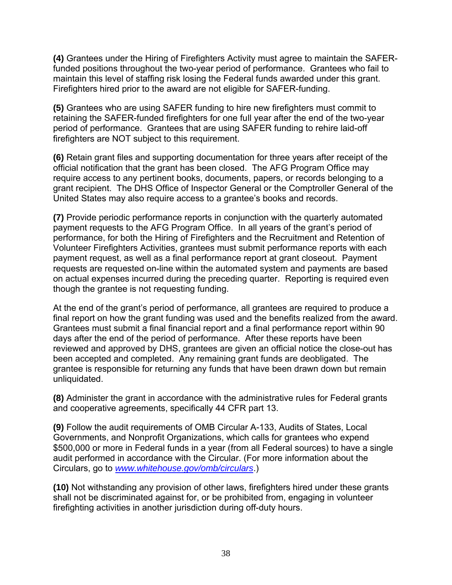**(4)** Grantees under the Hiring of Firefighters Activity must agree to maintain the SAFERfunded positions throughout the two-year period of performance. Grantees who fail to maintain this level of staffing risk losing the Federal funds awarded under this grant. Firefighters hired prior to the award are not eligible for SAFER-funding.

**(5)** Grantees who are using SAFER funding to hire new firefighters must commit to retaining the SAFER-funded firefighters for one full year after the end of the two-year period of performance. Grantees that are using SAFER funding to rehire laid-off firefighters are NOT subject to this requirement.

**(6)** Retain grant files and supporting documentation for three years after receipt of the official notification that the grant has been closed. The AFG Program Office may require access to any pertinent books, documents, papers, or records belonging to a grant recipient. The DHS Office of Inspector General or the Comptroller General of the United States may also require access to a grantee's books and records.

**(7)** Provide periodic performance reports in conjunction with the quarterly automated payment requests to the AFG Program Office. In all years of the grant's period of performance, for both the Hiring of Firefighters and the Recruitment and Retention of Volunteer Firefighters Activities, grantees must submit performance reports with each payment request, as well as a final performance report at grant closeout. Payment requests are requested on-line within the automated system and payments are based on actual expenses incurred during the preceding quarter. Reporting is required even though the grantee is not requesting funding.

At the end of the grant's period of performance, all grantees are required to produce a final report on how the grant funding was used and the benefits realized from the award. Grantees must submit a final financial report and a final performance report within 90 days after the end of the period of performance. After these reports have been reviewed and approved by DHS, grantees are given an official notice the close-out has been accepted and completed. Any remaining grant funds are deobligated. The grantee is responsible for returning any funds that have been drawn down but remain unliquidated.

**(8)** Administer the grant in accordance with the administrative rules for Federal grants and cooperative agreements, specifically 44 CFR part 13.

**(9)** Follow the audit requirements of OMB Circular A-133, Audits of States, Local Governments, and Nonprofit Organizations, which calls for grantees who expend \$500,000 or more in Federal funds in a year (from all Federal sources) to have a single audit performed in accordance with the Circular. (For more information about the Circulars, go to *www.whitehouse.gov/omb/circulars*.)

**(10)** Not withstanding any provision of other laws, firefighters hired under these grants shall not be discriminated against for, or be prohibited from, engaging in volunteer firefighting activities in another jurisdiction during off-duty hours.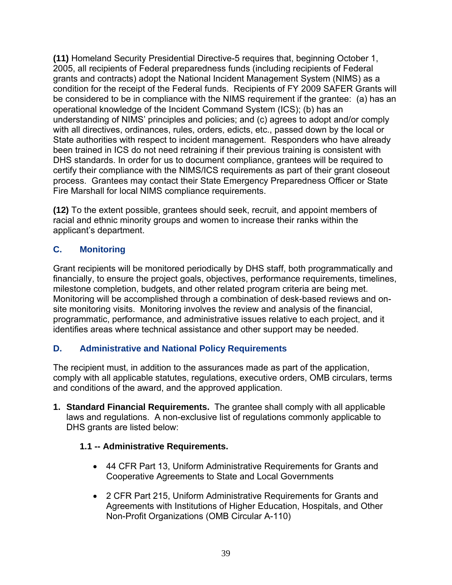<span id="page-43-0"></span>**(11)** Homeland Security Presidential Directive-5 requires that, beginning October 1, 2005, all recipients of Federal preparedness funds (including recipients of Federal grants and contracts) adopt the National Incident Management System (NIMS) as a condition for the receipt of the Federal funds. Recipients of FY 2009 SAFER Grants will be considered to be in compliance with the NIMS requirement if the grantee: (a) has an operational knowledge of the Incident Command System (ICS); (b) has an understanding of NIMS' principles and policies; and (c) agrees to adopt and/or comply with all directives, ordinances, rules, orders, edicts, etc., passed down by the local or State authorities with respect to incident management. Responders who have already been trained in ICS do not need retraining if their previous training is consistent with DHS standards. In order for us to document compliance, grantees will be required to certify their compliance with the NIMS/ICS requirements as part of their grant closeout process. Grantees may contact their State Emergency Preparedness Officer or State Fire Marshall for local NIMS compliance requirements.

**(12)** To the extent possible, grantees should seek, recruit, and appoint members of racial and ethnic minority groups and women to increase their ranks within the applicant's department.

# **C. Monitoring**

Grant recipients will be monitored periodically by DHS staff, both programmatically and financially, to ensure the project goals, objectives, performance requirements, timelines, milestone completion, budgets, and other related program criteria are being met. Monitoring will be accomplished through a combination of desk-based reviews and onsite monitoring visits. Monitoring involves the review and analysis of the financial, programmatic, performance, and administrative issues relative to each project, and it identifies areas where technical assistance and other support may be needed.

# **D. Administrative and National Policy Requirements**

The recipient must, in addition to the assurances made as part of the application, comply with all applicable statutes, regulations, executive orders, OMB circulars, terms and conditions of the award, and the approved application.

**1. Standard Financial Requirements.** The grantee shall comply with all applicable laws and regulations. A non-exclusive list of regulations commonly applicable to DHS grants are listed below:

# **1.1 -- Administrative Requirements.**

- 44 CFR Part 13, Uniform Administrative Requirements for Grants and Cooperative Agreements to State and Local Governments
- 2 CFR Part 215, Uniform Administrative Requirements for Grants and Agreements with Institutions of Higher Education, Hospitals, and Other Non-Profit Organizations (OMB Circular A-110)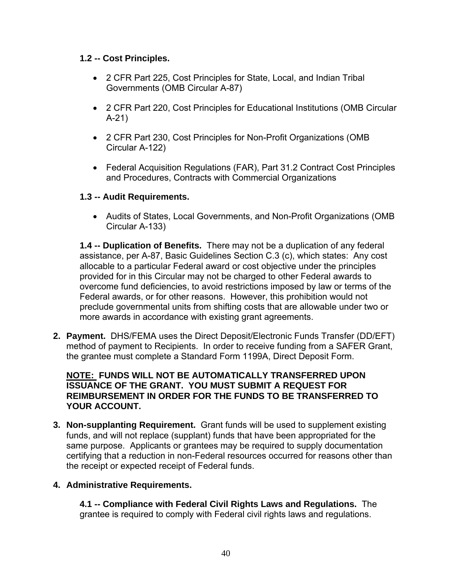## **1.2 -- Cost Principles.**

- 2 CFR Part 225, Cost Principles for State, Local, and Indian Tribal Governments (OMB Circular A-87)
- 2 CFR Part 220, Cost Principles for Educational Institutions (OMB Circular A-21)
- 2 CFR Part 230, Cost Principles for Non-Profit Organizations (OMB Circular A-122)
- Federal Acquisition Regulations (FAR), Part 31.2 Contract Cost Principles and Procedures, Contracts with Commercial Organizations

## **1.3 -- Audit Requirements.**

 Audits of States, Local Governments, and Non-Profit Organizations (OMB Circular A-133)

**1.4 -- Duplication of Benefits.** There may not be a duplication of any federal assistance, per A-87, Basic Guidelines Section C.3 (c), which states: Any cost allocable to a particular Federal award or cost objective under the principles provided for in this Circular may not be charged to other Federal awards to overcome fund deficiencies, to avoid restrictions imposed by law or terms of the Federal awards, or for other reasons. However, this prohibition would not preclude governmental units from shifting costs that are allowable under two or more awards in accordance with existing grant agreements.

**2. Payment.** DHS/FEMA uses the Direct Deposit/Electronic Funds Transfer (DD/EFT) method of payment to Recipients. In order to receive funding from a SAFER Grant, the grantee must complete a Standard Form 1199A, Direct Deposit Form.

#### **NOTE: FUNDS WILL NOT BE AUTOMATICALLY TRANSFERRED UPON ISSUANCE OF THE GRANT. YOU MUST SUBMIT A REQUEST FOR REIMBURSEMENT IN ORDER FOR THE FUNDS TO BE TRANSFERRED TO YOUR ACCOUNT.**

**3. Non-supplanting Requirement.** Grant funds will be used to supplement existing funds, and will not replace (supplant) funds that have been appropriated for the same purpose. Applicants or grantees may be required to supply documentation certifying that a reduction in non-Federal resources occurred for reasons other than the receipt or expected receipt of Federal funds.

## **4. Administrative Requirements.**

**4.1 -- Compliance with Federal Civil Rights Laws and Regulations.** The grantee is required to comply with Federal civil rights laws and regulations.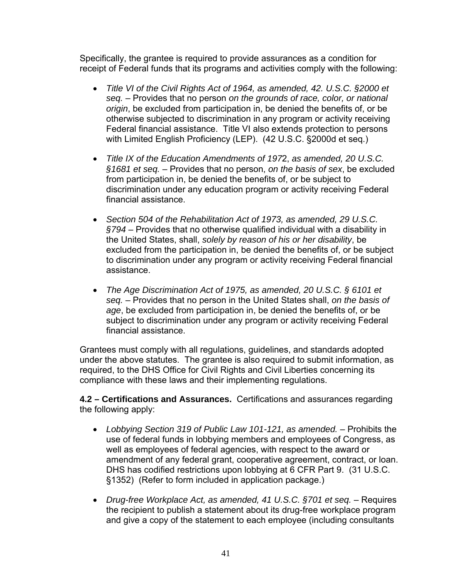Specifically, the grantee is required to provide assurances as a condition for receipt of Federal funds that its programs and activities comply with the following:

- *Title VI of the Civil Rights Act of 1964, as amended, 42. U.S.C. §2000 et seq.* – Provides that no person *on the grounds of race, color, or national origin*, be excluded from participation in, be denied the benefits of, or be otherwise subjected to discrimination in any program or activity receiving Federal financial assistance. Title VI also extends protection to persons with Limited English Proficiency (LEP). (42 U.S.C. §2000d et seq.)
- *Title IX of the Education Amendments of 197*2, *as amended, 20 U.S.C. §1681 et seq.* – Provides that no person, *on the basis of sex*, be excluded from participation in, be denied the benefits of, or be subject to discrimination under any education program or activity receiving Federal financial assistance.
- *Section 504 of the Rehabilitation Act of 1973, as amended, 29 U.S.C. §794* – Provides that no otherwise qualified individual with a disability in the United States, shall, *solely by reason of his or her disability*, be excluded from the participation in, be denied the benefits of, or be subject to discrimination under any program or activity receiving Federal financial assistance.
- *The Age Discrimination Act of 1975, as amended, 20 U.S.C. § 6101 et seq.* – Provides that no person in the United States shall, *on the basis of age*, be excluded from participation in, be denied the benefits of, or be subject to discrimination under any program or activity receiving Federal financial assistance.

Grantees must comply with all regulations, guidelines, and standards adopted under the above statutes. The grantee is also required to submit information, as required, to the DHS Office for Civil Rights and Civil Liberties concerning its compliance with these laws and their implementing regulations.

**4.2 – Certifications and Assurances.** Certifications and assurances regarding the following apply:

- Lobbying Section 319 of Public Law 101-121, as amended. Prohibits the use of federal funds in lobbying members and employees of Congress, as well as employees of federal agencies, with respect to the award or amendment of any federal grant, cooperative agreement, contract, or loan. DHS has codified restrictions upon lobbying at 6 CFR Part 9. (31 U.S.C. §1352) (Refer to form included in application package.)
- *Drug-free Workplace Act, as amended, 41 U.S.C. §701 et seq.* Requires the recipient to publish a statement about its drug-free workplace program and give a copy of the statement to each employee (including consultants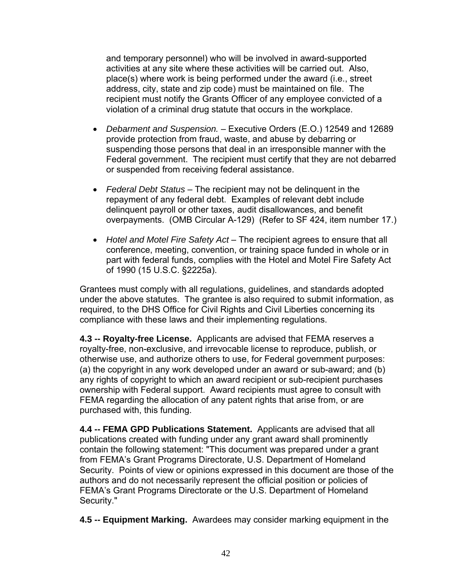and temporary personnel) who will be involved in award-supported activities at any site where these activities will be carried out. Also, place(s) where work is being performed under the award (i.e., street address, city, state and zip code) must be maintained on file. The recipient must notify the Grants Officer of any employee convicted of a violation of a criminal drug statute that occurs in the workplace.

- *Debarment and Suspension.*  Executive Orders (E.O.) 12549 and 12689 provide protection from fraud, waste, and abuse by debarring or suspending those persons that deal in an irresponsible manner with the Federal government. The recipient must certify that they are not debarred or suspended from receiving federal assistance.
- *Federal Debt Status*  The recipient may not be delinquent in the repayment of any federal debt. Examples of relevant debt include delinquent payroll or other taxes, audit disallowances, and benefit overpayments. (OMB Circular A-129) (Refer to SF 424, item number 17.)
- Hotel and Motel Fire Safety Act The recipient agrees to ensure that all conference, meeting, convention, or training space funded in whole or in part with federal funds, complies with the Hotel and Motel Fire Safety Act of 1990 (15 U.S.C. §2225a).

Grantees must comply with all regulations, guidelines, and standards adopted under the above statutes. The grantee is also required to submit information, as required, to the DHS Office for Civil Rights and Civil Liberties concerning its compliance with these laws and their implementing regulations.

**4.3 -- Royalty-free License.** Applicants are advised that FEMA reserves a royalty-free, non-exclusive, and irrevocable license to reproduce, publish, or otherwise use, and authorize others to use, for Federal government purposes: (a) the copyright in any work developed under an award or sub-award; and (b) any rights of copyright to which an award recipient or sub-recipient purchases ownership with Federal support. Award recipients must agree to consult with FEMA regarding the allocation of any patent rights that arise from, or are purchased with, this funding.

**4.4 -- FEMA GPD Publications Statement.** Applicants are advised that all publications created with funding under any grant award shall prominently contain the following statement: "This document was prepared under a grant from FEMA's Grant Programs Directorate, U.S. Department of Homeland Security. Points of view or opinions expressed in this document are those of the authors and do not necessarily represent the official position or policies of FEMA's Grant Programs Directorate or the U.S. Department of Homeland Security."

**4.5 -- Equipment Marking.** Awardees may consider marking equipment in the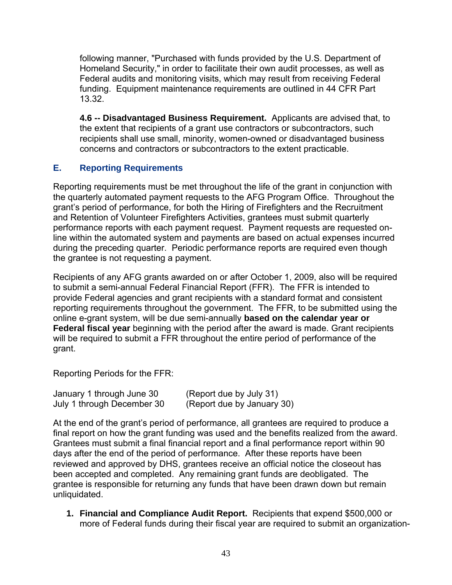<span id="page-47-0"></span>following manner, "Purchased with funds provided by the U.S. Department of Homeland Security," in order to facilitate their own audit processes, as well as Federal audits and monitoring visits, which may result from receiving Federal funding. Equipment maintenance requirements are outlined in 44 CFR Part 13.32.

**4.6 -- Disadvantaged Business Requirement.** Applicants are advised that, to the extent that recipients of a grant use contractors or subcontractors, such recipients shall use small, minority, women-owned or disadvantaged business concerns and contractors or subcontractors to the extent practicable.

# **E. Reporting Requirements**

Reporting requirements must be met throughout the life of the grant in conjunction with the quarterly automated payment requests to the AFG Program Office. Throughout the grant's period of performance, for both the Hiring of Firefighters and the Recruitment and Retention of Volunteer Firefighters Activities, grantees must submit quarterly performance reports with each payment request. Payment requests are requested online within the automated system and payments are based on actual expenses incurred during the preceding quarter. Periodic performance reports are required even though the grantee is not requesting a payment.

Recipients of any AFG grants awarded on or after October 1, 2009, also will be required to submit a semi-annual Federal Financial Report (FFR). The FFR is intended to provide Federal agencies and grant recipients with a standard format and consistent reporting requirements throughout the government. The FFR, to be submitted using the online e-grant system, will be due semi-annually **based on the calendar year or Federal fiscal year** beginning with the period after the award is made. Grant recipients will be required to submit a FFR throughout the entire period of performance of the grant.

Reporting Periods for the FFR:

| January 1 through June 30  | (Report due by July 31)    |
|----------------------------|----------------------------|
| July 1 through December 30 | (Report due by January 30) |

At the end of the grant's period of performance, all grantees are required to produce a final report on how the grant funding was used and the benefits realized from the award. Grantees must submit a final financial report and a final performance report within 90 days after the end of the period of performance. After these reports have been reviewed and approved by DHS, grantees receive an official notice the closeout has been accepted and completed. Any remaining grant funds are deobligated. The grantee is responsible for returning any funds that have been drawn down but remain unliquidated.

**1. Financial and Compliance Audit Report.** Recipients that expend \$500,000 or more of Federal funds during their fiscal year are required to submit an organization-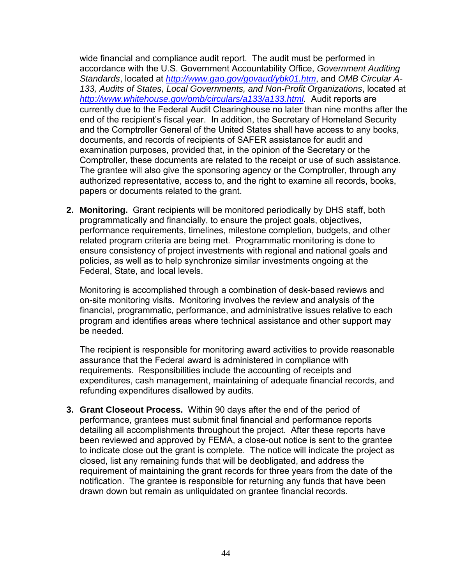wide financial and compliance audit report. The audit must be performed in accordance with the U.S. Government Accountability Office, *Government Auditing Standards*, located at *http://www.gao.gov/govaud/ybk01.htm*, and *OMB Circular A-133, Audits of States, Local Governments, and Non-Profit Organizations*, located at *http://www.whitehouse.gov/omb/circulars/a133/a133.html.* Audit reports are currently due to the Federal Audit Clearinghouse no later than nine months after the end of the recipient's fiscal year. In addition, the Secretary of Homeland Security and the Comptroller General of the United States shall have access to any books, documents, and records of recipients of SAFER assistance for audit and examination purposes, provided that, in the opinion of the Secretary or the Comptroller, these documents are related to the receipt or use of such assistance. The grantee will also give the sponsoring agency or the Comptroller, through any authorized representative, access to, and the right to examine all records, books, papers or documents related to the grant.

**2. Monitoring.** Grant recipients will be monitored periodically by DHS staff, both programmatically and financially, to ensure the project goals, objectives, performance requirements, timelines, milestone completion, budgets, and other related program criteria are being met. Programmatic monitoring is done to ensure consistency of project investments with regional and national goals and policies, as well as to help synchronize similar investments ongoing at the Federal, State, and local levels.

Monitoring is accomplished through a combination of desk-based reviews and on-site monitoring visits. Monitoring involves the review and analysis of the financial, programmatic, performance, and administrative issues relative to each program and identifies areas where technical assistance and other support may be needed.

The recipient is responsible for monitoring award activities to provide reasonable assurance that the Federal award is administered in compliance with requirements. Responsibilities include the accounting of receipts and expenditures, cash management, maintaining of adequate financial records, and refunding expenditures disallowed by audits.

 drawn down but remain as unliquidated on grantee financial records. **3. Grant Closeout Process.** Within 90 days after the end of the period of performance, grantees must submit final financial and performance reports detailing all accomplishments throughout the project. After these reports have been reviewed and approved by FEMA, a close-out notice is sent to the grantee to indicate close out the grant is complete. The notice will indicate the project as closed, list any remaining funds that will be deobligated, and address the requirement of maintaining the grant records for three years from the date of the notification. The grantee is responsible for returning any funds that have been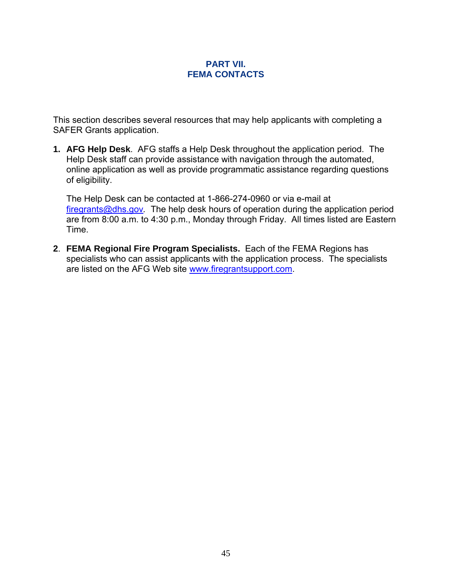#### **PART VII. FEMA CONTACTS**

<span id="page-49-0"></span>This section describes several resources that may help applicants with completing a SAFER Grants application.

**1. AFG Help Desk**. AFG staffs a Help Desk throughout the application period. The Help Desk staff can provide assistance with navigation through the automated, online application as well as provide programmatic assistance regarding questions of eligibility.

The Help Desk can be contacted at 1-866-274-0960 or via e-mail at firegrants@dhs.gov*.* The help desk hours of operation during the application period are from 8:00 a.m. to 4:30 p.m., Monday through Friday. All times listed are Eastern Time.

**2**. **FEMA Regional Fire Program Specialists.** Each of the FEMA Regions has specialists who can assist applicants with the application process. The specialists are listed on the AFG Web site www.firegrantsupport.com.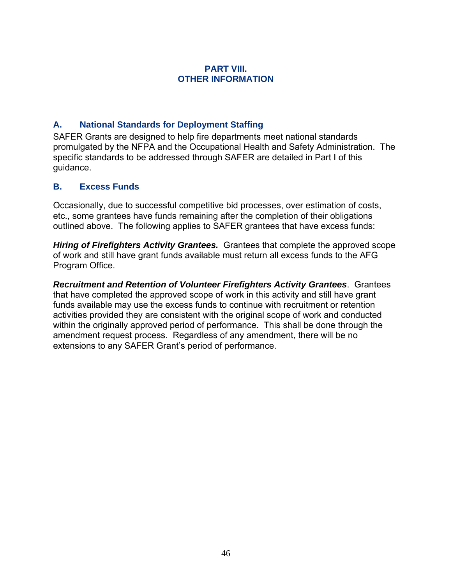#### **PART VIII. OTHER INFORMATION**

## <span id="page-50-0"></span>**A. National Standards for Deployment Staffing**

SAFER Grants are designed to help fire departments meet national standards promulgated by the NFPA and the Occupational Health and Safety Administration. The specific standards to be addressed through SAFER are detailed in Part I of this guidance.

## **B. Excess Funds**

Occasionally, due to successful competitive bid processes, over estimation of costs, etc., some grantees have funds remaining after the completion of their obligations outlined above. The following applies to SAFER grantees that have excess funds:

*Hiring of Firefighters Activity Grantees.* Grantees that complete the approved scope of work and still have grant funds available must return all excess funds to the AFG Program Office.

*Recruitment and Retention of Volunteer Firefighters Activity Grantees*. Grantees that have completed the approved scope of work in this activity and still have grant funds available may use the excess funds to continue with recruitment or retention activities provided they are consistent with the original scope of work and conducted within the originally approved period of performance. This shall be done through the amendment request process. Regardless of any amendment, there will be no extensions to any SAFER Grant's period of performance.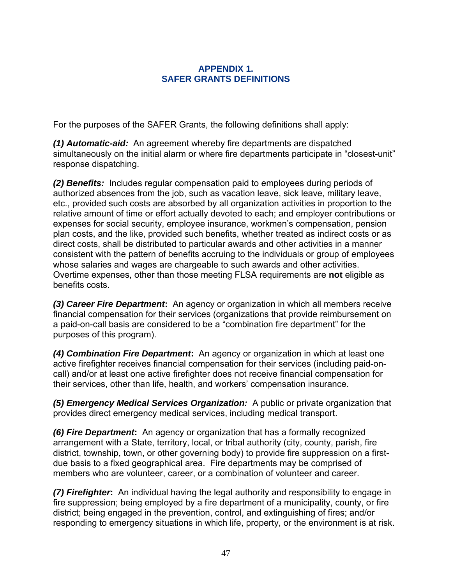#### **APPENDIX 1. SAFER GRANTS DEFINITIONS**

<span id="page-51-0"></span>For the purposes of the SAFER Grants, the following definitions shall apply:

*(1) Automatic-aid:* An agreement whereby fire departments are dispatched simultaneously on the initial alarm or where fire departments participate in "closest-unit" response dispatching.

*(2) Benefits:* Includes regular compensation paid to employees during periods of authorized absences from the job, such as vacation leave, sick leave, military leave, etc., provided such costs are absorbed by all organization activities in proportion to the relative amount of time or effort actually devoted to each; and employer contributions or expenses for social security, employee insurance, workmen's compensation, pension plan costs, and the like, provided such benefits, whether treated as indirect costs or as direct costs, shall be distributed to particular awards and other activities in a manner consistent with the pattern of benefits accruing to the individuals or group of employees whose salaries and wages are chargeable to such awards and other activities. Overtime expenses, other than those meeting FLSA requirements are **not** eligible as benefits costs.

*(3) Career Fire Department***:** An agency or organization in which all members receive financial compensation for their services (organizations that provide reimbursement on a paid-on-call basis are considered to be a "combination fire department" for the purposes of this program).

*(4) Combination Fire Department***:** An agency or organization in which at least one active firefighter receives financial compensation for their services (including paid-oncall) and/or at least one active firefighter does not receive financial compensation for their services, other than life, health, and workers' compensation insurance.

*(5) Emergency Medical Services Organization:* A public or private organization that provides direct emergency medical services, including medical transport.

*(6) Fire Department***:** An agency or organization that has a formally recognized arrangement with a State, territory, local, or tribal authority (city, county, parish, fire district, township, town, or other governing body) to provide fire suppression on a firstdue basis to a fixed geographical area. Fire departments may be comprised of members who are volunteer, career, or a combination of volunteer and career.

*(7) Firefighter***:** An individual having the legal authority and responsibility to engage in fire suppression; being employed by a fire department of a municipality, county, or fire district; being engaged in the prevention, control, and extinguishing of fires; and/or responding to emergency situations in which life, property, or the environment is at risk.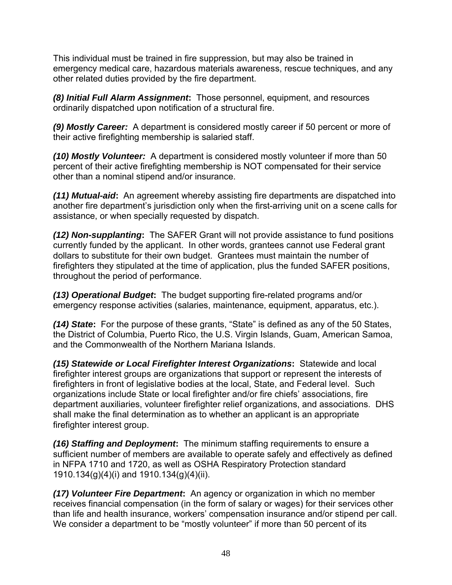This individual must be trained in fire suppression, but may also be trained in emergency medical care, hazardous materials awareness, rescue techniques, and any other related duties provided by the fire department.

*(8) Initial Full Alarm Assignment***:** Those personnel, equipment, and resources ordinarily dispatched upon notification of a structural fire.

*(9) Mostly Career:* A department is considered mostly career if 50 percent or more of their active firefighting membership is salaried staff.

*(10) Mostly Volunteer:* A department is considered mostly volunteer if more than 50 percent of their active firefighting membership is NOT compensated for their service other than a nominal stipend and/or insurance.

*(11) Mutual-aid***:** An agreement whereby assisting fire departments are dispatched into another fire department's jurisdiction only when the first-arriving unit on a scene calls for assistance, or when specially requested by dispatch.

*(12) Non-supplanting***:** The SAFER Grant will not provide assistance to fund positions currently funded by the applicant. In other words, grantees cannot use Federal grant dollars to substitute for their own budget. Grantees must maintain the number of firefighters they stipulated at the time of application, plus the funded SAFER positions, throughout the period of performance.

*(13) Operational Budget***:** The budget supporting fire-related programs and/or emergency response activities (salaries, maintenance, equipment, apparatus, etc.).

*(14) State***:** For the purpose of these grants, "State" is defined as any of the 50 States, the District of Columbia, Puerto Rico, the U.S. Virgin Islands, Guam, American Samoa, and the Commonwealth of the Northern Mariana Islands.

*(15) Statewide or Local Firefighter Interest Organizations***:** Statewide and local firefighter interest groups are organizations that support or represent the interests of firefighters in front of legislative bodies at the local, State, and Federal level. Such organizations include State or local firefighter and/or fire chiefs' associations, fire department auxiliaries, volunteer firefighter relief organizations, and associations. DHS shall make the final determination as to whether an applicant is an appropriate firefighter interest group.

*(16) Staffing and Deployment***:** The minimum staffing requirements to ensure a sufficient number of members are available to operate safely and effectively as defined in NFPA 1710 and 1720, as well as OSHA Respiratory Protection standard 1910.134(g)(4)(i) and 1910.134(g)(4)(ii).

*(17) Volunteer Fire Department***:** An agency or organization in which no member receives financial compensation (in the form of salary or wages) for their services other than life and health insurance, workers' compensation insurance and/or stipend per call. We consider a department to be "mostly volunteer" if more than 50 percent of its